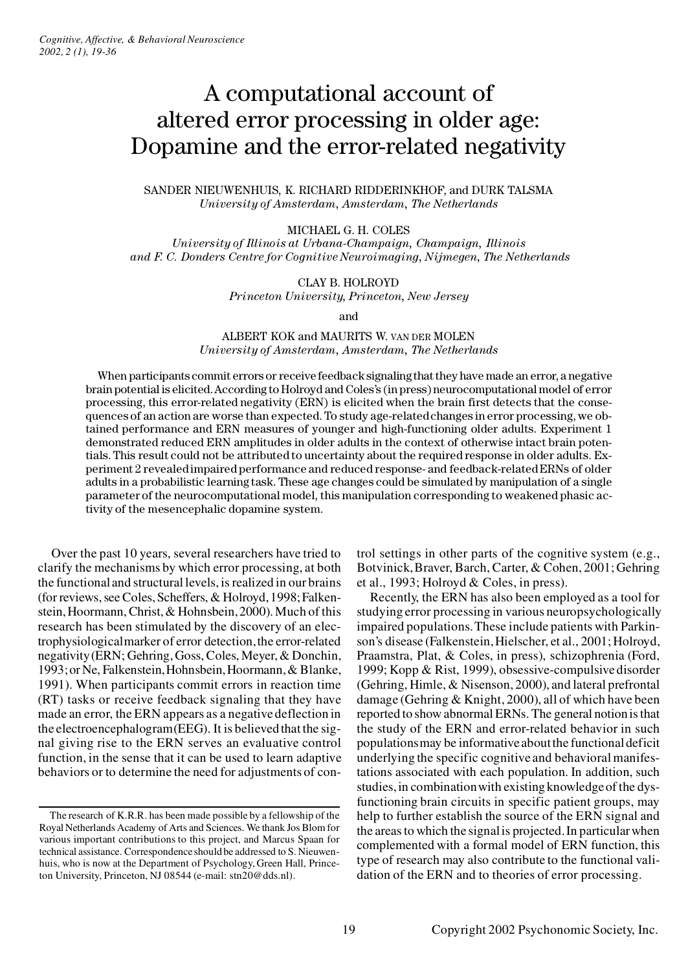# A computational account of altered error processing in older age: Dopamine and the error-related negativity

# SANDER NIEUWENHUIS, K. RICHARD RIDDERINKHOF, and DURK TALSMA *University of Amsterdam, Amsterdam, The Netherlands*

## MICHAEL G. H. COLES

*University of Illinois at Urbana-Champaign, Champaign, Illinois and F. C. Donders Centre for Cognitive Neuroimaging, Nijmegen, The Netherlands*

## CLAY B. HOLROYD

*Princeton University, Princeton, New Jersey*

and

## ALBERT KOK and MAURITS W. VAN DER MOLEN *University of Amsterdam, Amsterdam, The Netherlands*

When participants commit errors or receive feedback signaling that they have made an error, a negative brain potential is elicited. According to Holroyd and Coles's (in press) neurocomputational model of error processing, this error-related negativity (ERN) is elicited when the brain first detects that the conse quences of an action are worse than expected. To study age-related changes in error processing, we obtained performance and ERN measures of younger and high-functioning older adults. Experiment 1 demonstrated reduced ERN amplitudes in older adults in the context of otherwise intact brain potentials. This result could not be attributed to uncertainty about the required response in older adults. Experiment 2 revealed impaired performance and reduced response- and feedback-related ERNs of older adults in a probabilistic learning task. These age changes could be simulated by manipulation of a single parameter of the neurocomputational model, this manipulation corresponding to weakened phasic activity of the mesencephalic dopamine system.

Over the past 10 years, several researchers have tried to clarify the mechanisms by which error processing, at both the functional and structural levels, is realized in our brains (for reviews, see Coles, Scheffers, & Holroyd, 1998; Falkenstein, Hoormann, Christ, & Hohnsbein, 2000). Much of this research has been stimulated by the discovery of an electrophysiological marker of error detection, the error-related negativity (ERN; Gehring, Goss, Coles, Meyer, & Donchin, 1993; or Ne, Falkenstein, Hohnsbein, Hoormann, & Blanke, 1991). When participants commit errors in reaction time (RT) tasks or receive feedback signaling that they have made an error, the ERN appears as a negative deflection in the electroencephalogram (EEG). It is believed that the signal giving rise to the ERN serves an evaluative control function, in the sense that it can be used to learn adaptive behaviors or to determine the need for adjustments of control settings in other parts of the cognitive system (e.g., Botvinick, Braver, Barch, Carter, & Cohen, 2001; Gehring et al., 1993; Holroyd & Coles, in press).

Recently, the ERN has also been employed as a tool for studying error processing in various neuropsychologically impaired populations. These include patients with Parkinson's disease (Falkenstein, Hielscher, et al., 2001; Holroyd, Praamstra, Plat, & Coles, in press), schizophrenia (Ford, 1999; Kopp & Rist, 1999), obsessive-compulsive disorder (Gehring, Himle, & Nisenson, 2000), and lateral prefrontal damage (Gehring & Knight, 2000), all of which have been reported to show abnormal ERNs. The general notion is that the study of the ERN and error-related behavior in such populations may be informative about the functional deficit underlying the specific cognitive and behavioral manifestations associated with each population. In addition, such studies, in combination with existing knowledge of the dysfunctioning brain circuits in specific patient groups, may help to further establish the source of the ERN signal and the areas to which the signal is projected. In particular when complemented with a formal model of ERN function, this type of research may also contribute to the functional validation of the ERN and to theories of error processing.

The research of K.R.R. has been made possible by a fellowship of the Royal Netherlands Academy of Arts and Sciences. We thank Jos Blom for various important contributions to this project, and Marcus Spaan for technical assistance. Correspondence should be addressed to S. Nieuwenhuis, who is now at the Department of Psychology, Green Hall, Princeton University, Princeton, NJ 08544 (e-mail: stn20@dds.nl).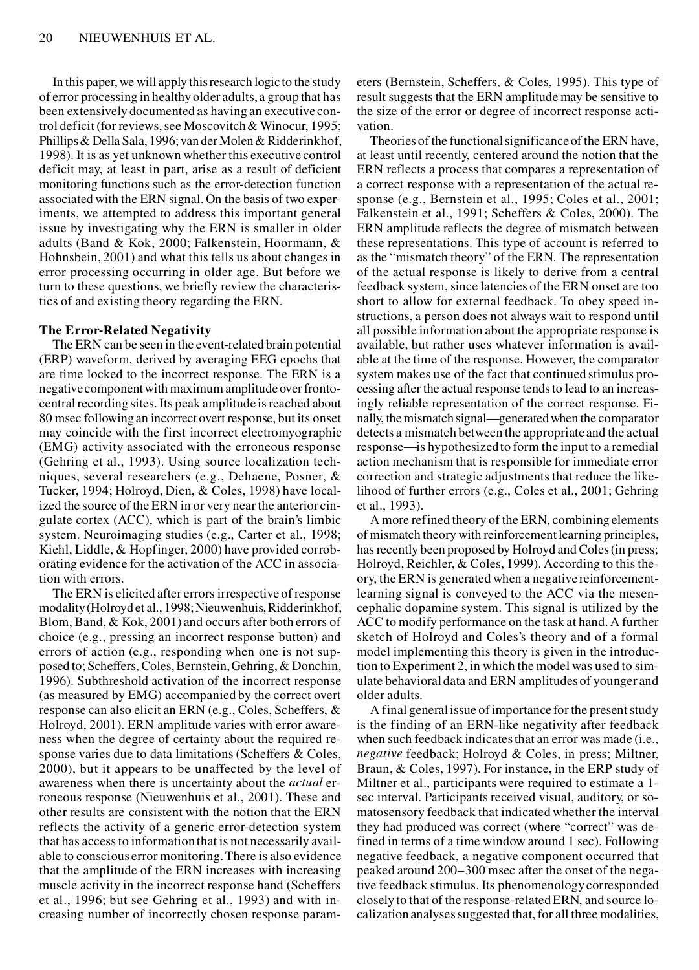In this paper, we will apply this research logic to the study of error processing in healthy older adults, a group that has been extensively documented as having an executive control deficit (for reviews, see Moscovitch & Winocur, 1995; Phillips & Della Sala, 1996; van der Molen & Ridderinkhof, 1998). It is as yet unknown whether this executive control deficit may, at least in part, arise as a result of deficient monitoring functions such as the error-detection function associated with the ERN signal. On the basis of two experiments, we attempted to address this important general issue by investigating why the ERN is smaller in older adults (Band & Kok, 2000; Falkenstein, Hoormann, & Hohnsbein, 2001) and what this tells us about changes in error processing occurring in older age. But before we turn to these questions, we briefly review the characteristics of and existing theory regarding the ERN.

# **The Error-Related Negativity**

The ERN can be seen in the event-related brain potential (ERP) waveform, derived by averaging EEG epochs that are time locked to the incorrect response. The ERN is a negative component with maximum amplitude over frontocentral recording sites. Its peak amplitude is reached about 80 msec following an incorrect overt response, but its onset may coincide with the first incorrect electromyographic (EMG) activity associated with the erroneous response (Gehring et al., 1993). Using source localization techniques, several researchers (e.g., Dehaene, Posner, & Tucker, 1994; Holroyd, Dien, & Coles, 1998) have localized the source of the ERN in or very near the anterior cingulate cortex (ACC), which is part of the brain's limbic system. Neuroimaging studies (e.g., Carter et al., 1998; Kiehl, Liddle, & Hopfinger, 2000) have provided corroborating evidence for the activation of the ACC in association with errors.

The ERN is elicited after errors irrespective of response modality (Holroyd et al., 1998; Nieuwenhuis, Ridderinkhof, Blom, Band, & Kok, 2001) and occurs after both errors of choice (e.g., pressing an incorrect response button) and errors of action (e.g., responding when one is not supposed to; Scheffers, Coles, Bernstein, Gehring, & Donchin, 1996). Subthreshold activation of the incorrect response (as measured by EMG) accompanied by the correct overt response can also elicit an ERN (e.g., Coles, Scheffers, & Holroyd, 2001). ERN amplitude varies with error awareness when the degree of certainty about the required response varies due to data limitations (Scheffers & Coles, 2000), but it appears to be unaffected by the level of awareness when there is uncertainty about the *actual* erroneous response (Nieuwenhuis et al., 2001). These and other results are consistent with the notion that the ERN reflects the activity of a generic error-detection system that has access to information that is not necessarily available to conscious error monitoring. There is also evidence that the amplitude of the ERN increases with increasing muscle activity in the incorrect response hand (Scheffers et al., 1996; but see Gehring et al., 1993) and with increasing number of incorrectly chosen response parameters (Bernstein, Scheffers, & Coles, 1995). This type of result suggests that the ERN amplitude may be sensitive to the size of the error or degree of incorrect response activation.

Theories of the functional significance of the ERN have, at least until recently, centered around the notion that the ERN reflects a process that compares a representation of a correct response with a representation of the actual response (e.g., Bernstein et al., 1995; Coles et al., 2001; Falkenstein et al., 1991; Scheffers & Coles, 2000). The ERN amplitude reflects the degree of mismatch between these representations. This type of account is referred to as the "mismatch theory" of the ERN. The representation of the actual response is likely to derive from a central feedback system, since latencies of the ERN onset are too short to allow for external feedback. To obey speed instructions, a person does not always wait to respond until all possible information about the appropriate response is available, but rather uses whatever information is available at the time of the response. However, the comparator system makes use of the fact that continued stimulus processing after the actual response tends to lead to an increasingly reliable representation of the correct response. Finally, the mismatch signal—generated when the comparator detects a mismatch between the appropriate and the actual response—is hypothesized to form the input to a remedial action mechanism that is responsible for immediate error correction and strategic adjustments that reduce the likelihood of further errors (e.g., Coles et al., 2001; Gehring et al., 1993).

A more refined theory of the ERN, combining elements of mismatch theory with reinforcement learning principles, has recently been proposed by Holroyd and Coles (in press; Holroyd, Reichler, & Coles, 1999). According to this theory, the ERN is generated when a negative reinforcementlearning signal is conveyed to the ACC via the mesencephalic dopamine system. This signal is utilized by the ACC to modify performance on the task at hand. A further sketch of Holroyd and Coles's theory and of a formal model implementing this theory is given in the introduction to Experiment 2, in which the model was used to simulate behavioral data and ERN amplitudes of younger and older adults.

A final general issue of importance for the present study is the finding of an ERN-like negativity after feedback when such feedback indicates that an error was made (i.e., *negative* feedback; Holroyd & Coles, in press; Miltner, Braun, & Coles, 1997). For instance, in the ERP study of Miltner et al., participants were required to estimate a 1 sec interval. Participants received visual, auditory, or somatosensory feedback that indicated whether the interval they had produced was correct (where "correct" was defined in terms of a time window around 1 sec). Following negative feedback, a negative component occurred that peaked around 200–300 msec after the onset of the negative feedback stimulus. Its phenomenology corresponded closely to that of the response-related ERN, and source localization analyses suggested that, for all three modalities,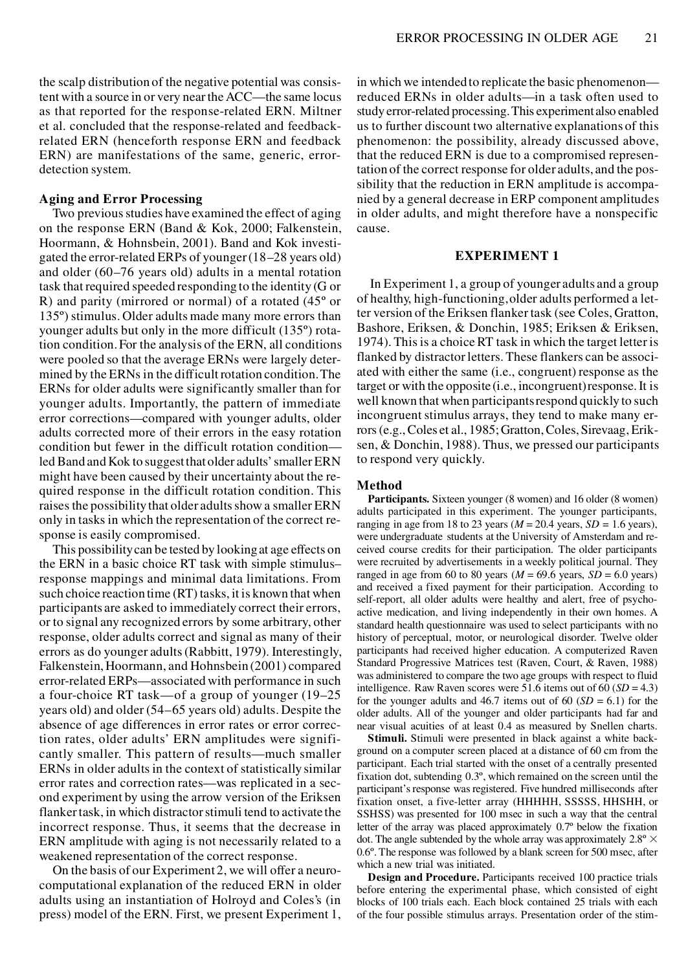the scalp distribution of the negative potential was consistent with a source in or very near the ACC—the same locus as that reported for the response-related ERN. Miltner et al. concluded that the response-related and feedbackrelated ERN (henceforth response ERN and feedback ERN) are manifestations of the same, generic, errordetection system.

## **Aging and Error Processing**

Two previous studies have examined the effect of aging on the response ERN (Band & Kok, 2000; Falkenstein, Hoormann, & Hohnsbein, 2001). Band and Kok investigated the error-related ERPs of younger (18–28 years old) and older (60–76 years old) adults in a mental rotation task that required speeded responding to the identity (G or R) and parity (mirrored or normal) of a rotated (45º or 135º) stimulus. Older adults made many more errors than younger adults but only in the more difficult (135º) rotation condition. For the analysis of the ERN, all conditions were pooled so that the average ERNs were largely determined by the ERNs in the difficult rotation condition. The ERNs for older adults were significantly smaller than for younger adults. Importantly, the pattern of immediate error corrections—compared with younger adults, older adults corrected more of their errors in the easy rotation condition but fewer in the difficult rotation condition led Band and Kok to suggest that older adults' smaller ERN might have been caused by their uncertainty about the required response in the difficult rotation condition. This raises the possibility that older adults show a smaller ERN only in tasks in which the representation of the correct response is easily compromised.

This possibility can be tested by looking at age effects on the ERN in a basic choice RT task with simple stimulus– response mappings and minimal data limitations. From such choice reaction time (RT) tasks, it is known that when participants are asked to immediately correct their errors, or to signal any recognized errors by some arbitrary, other response, older adults correct and signal as many of their errors as do younger adults (Rabbitt, 1979). Interestingly, Falkenstein, Hoormann, and Hohnsbein (2001) compared error-related ERPs—associated with performance in such a four-choice RT task—of a group of younger (19–25 years old) and older (54–65 years old) adults. Despite the absence of age differences in error rates or error correction rates, older adults' ERN amplitudes were significantly smaller. This pattern of results—much smaller ERNs in older adults in the context of statistically similar error rates and correction rates—was replicated in a second experiment by using the arrow version of the Eriksen flanker task, in which distractor stimuli tend to activate the incorrect response. Thus, it seems that the decrease in ERN amplitude with aging is not necessarily related to a weakened representation of the correct response.

On the basis of our Experiment 2, we will offer a neurocomputational explanation of the reduced ERN in older adults using an instantiation of Holroyd and Coles's (in press) model of the ERN. First, we present Experiment 1,

in which we intended to replicate the basic phenomenon reduced ERNs in older adults—in a task often used to study error-related processing. This experiment also enabled us to further discount two alternative explanations of this phenomenon: the possibility, already discussed above, that the reduced ERN is due to a compromised representation of the correct response for older adults, and the possibility that the reduction in ERN amplitude is accompanied by a general decrease in ERP component amplitudes in older adults, and might therefore have a nonspecific cause.

# **EXPERIMENT 1**

In Experiment 1, a group of younger adults and a group of healthy, high-functioning, older adults performed a letter version of the Eriksen flanker task (see Coles, Gratton, Bashore, Eriksen, & Donchin, 1985; Eriksen & Eriksen, 1974). This is a choice RT task in which the target letter is flanked by distractor letters. These flankers can be associated with either the same (i.e., congruent) response as the target or with the opposite (i.e., incongruent) response. It is well known that when participants respond quickly to such incongruent stimulus arrays, they tend to make many errors (e.g., Coles et al., 1985; Gratton, Coles, Sirevaag, Eriksen, & Donchin, 1988). Thus, we pressed our participants to respond very quickly.

## **Method**

Participants. Sixteen younger (8 women) and 16 older (8 women) adults participated in this experiment. The younger participants, ranging in age from 18 to 23 years ( $M = 20.4$  years,  $SD = 1.6$  years), were undergraduate students at the University of Amsterdam and re ceived course credits for their participation. The older participants were recruited by advertisements in a weekly political journal. They ranged in age from 60 to 80 years ( $M = 69.6$  years,  $SD = 6.0$  years) and received a fixed payment for their participation. According to self-report, all older adults were healthy and alert, free of psychoactive medication, and living independently in their own homes. A standard health questionnaire was used to select participants with no history of perceptual, motor, or neurological disorder. Twelve older participants had received higher education. A computerized Raven Standard Progressive Matrices test (Raven, Court, & Raven, 1988) was administered to compare the two age groups with respect to fluid intelligence. Raw Raven scores were 51.6 items out of  $60 (SD = 4.3)$ for the younger adults and 46.7 items out of 60  $(SD = 6.1)$  for the older adults. All of the younger and older participants had far and near visual acuities of at least 0.4 as measured by Snellen charts.

**Stimuli.** Stimuli were presented in black against a white background on a computer screen placed at a distance of 60 cm from the participant. Each trial started with the onset of a centrally presented fixation dot, subtending 0.3º, which remained on the screen until the participant's response was registered. Five hundred milliseconds after fixation onset, a five-letter array (HHHHH, SSSSS, HHSHH, or SSHSS) was presented for 100 msec in such a way that the central letter of the array was placed approximately 0.7º below the fixation dot. The angle subtended by the whole array was approximately  $2.8^{\circ} \times$ 0.6º. The response was followed by a blank screen for 500 msec, after which a new trial was initiated.

**Design and Procedure.** Participants received 100 practice trials before entering the experimental phase, which consisted of eight blocks of 100 trials each. Each block contained 25 trials with each of the four possible stimulus arrays. Presentation order of the stim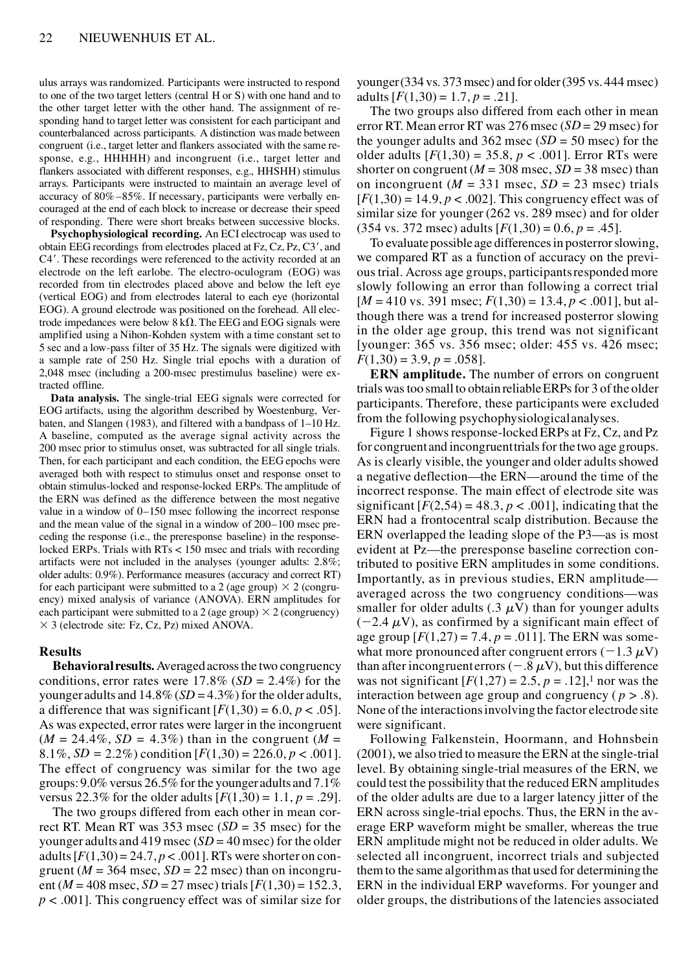ulus arrays was randomized. Participants were instructed to respond to one of the two target letters (central H or S) with one hand and to the other target letter with the other hand. The assignment of re sponding hand to target letter was consistent for each participant and counterbalanced across participants. A distinction was made between congruent (i.e., target letter and flankers associated with the same re sponse, e.g., HHHHH) and incongruent (i.e., target letter and flankers associated with different responses, e.g., HHSHH) stimulus arrays. Participants were instructed to maintain an average level of accuracy of 80%–85%. If necessary, participants were verbally en couraged at the end of each block to increase or decrease their speed of responding. There were short breaks between successive blocks.

**Psychophysiological recording.** An ECI electrocap was used to obtain EEG recordings from electrodes placed at Fz, Cz, Pz, C3', and C4'. These recordings were referenced to the activity recorded at an electrode on the left earlobe. The electro-oculogram (EOG) was recorded from tin electrodes placed above and below the left eye (vertical EOG) and from electrodes lateral to each eye (horizontal EOG). A ground electrode was positioned on the forehead. All electrode impedances were below  $8 \text{ k}\Omega$ . The EEG and EOG signals were amplified using a Nihon-Kohden system with a time constant set to 5 sec and a low-pass filter of 35 Hz. The signals were digitized with a sample rate of 250 Hz. Single trial epochs with a duration of 2,048 msec (including a 200-msec prestimulus baseline) were extracted offline.

**Data analysis.** The single-trial EEG signals were corrected for EOG artifacts, using the algorithm described by Woestenburg, Ver baten, and Slangen (1983), and filtered with a bandpass of 1–10 Hz. A baseline, computed as the average signal activity across the 200 msec prior to stimulus onset, was subtracted for all single trials. Then, for each participant and each condition, the EEG epochs were averaged both with respect to stimulus onset and response onset to obtain stimulus-locked and response-locked ERPs. The amplitude of the ERN was defined as the difference between the most negative value in a window of 0–150 msec following the incorrect response and the mean value of the signal in a window of 200–100 msec preceding the response (i.e., the preresponse baseline) in the responselocked ERPs. Trials with RTs < 150 msec and trials with recording artifacts were not included in the analyses (younger adults: 2.8%; older adults: 0.9%). Performance measures (accuracy and correct RT) for each participant were submitted to a 2 (age group)  $\times$  2 (congruency) mixed analysis of variance (ANOVA). ERN amplitudes for each participant were submitted to a 2 (age group)  $\times$  2 (congruency)  $\times$  3 (electrode site: Fz, Cz, Pz) mixed ANOVA.

## **Results**

**Behavioral results.** Averaged across the two congruency conditions, error rates were  $17.8\%$  (*SD* = 2.4%) for the younger adults and 14.8% (*SD* = 4.3%) for the older adults, a difference that was significant  $[F(1,30) = 6.0, p < .05]$ . As was expected, error rates were larger in the incongruent  $(M = 24.4\%, SD = 4.3\%)$  than in the congruent  $(M =$ 8.1%,  $SD = 2.2\%$  condition  $[F(1,30) = 226.0, p < .001]$ . The effect of congruency was similar for the two age groups: 9.0% versus 26.5% for the younger adults and 7.1% versus 22.3% for the older adults  $[F(1,30) = 1.1, p = .29]$ .

The two groups differed from each other in mean correct RT. Mean RT was  $353$  msec  $(SD = 35$  msec) for the younger adults and 419 msec (*SD* = 40 msec) for the older adults  $[F(1,30) = 24.7, p < .001]$ . RTs were shorter on congruent ( $M = 364$  msec,  $SD = 22$  msec) than on incongruent ( $M = 408$  msec,  $SD = 27$  msec) trials  $[F(1,30) = 152.3]$ , *p* < .001]. This congruency effect was of similar size for younger (334 vs. 373msec) and for older (395 vs. 444 msec) adults  $[F(1,30) = 1.7, p = .21]$ .

The two groups also differed from each other in mean error RT. Mean error RT was 276 msec (*SD* = 29 msec) for the younger adults and  $362$  msec ( $SD = 50$  msec) for the older adults  $[F(1,30) = 35.8, p < .001]$ . Error RTs were shorter on congruent ( $M = 308$  msec,  $SD = 38$  msec) than on incongruent ( $M = 331$  msec,  $SD = 23$  msec) trials  $[F(1,30) = 14.9, p < .002]$ . This congruency effect was of similar size for younger (262 vs. 289 msec) and for older  $(354 \text{ vs. } 372 \text{ msec})$  adults  $[F(1,30) = 0.6, p = .45]$ .

To evaluate possible age differences in posterror slowing, we compared RT as a function of accuracy on the previous trial. Across age groups, participants responded more slowly following an error than following a correct trial [*M* = 410 vs. 391 msec; *F*(1,30) = 13.4, *p* < .001], but although there was a trend for increased posterror slowing in the older age group, this trend was not significant [younger: 365 vs. 356 msec; older: 455 vs. 426 msec;  $F(1,30) = 3.9, p = .058$ .

**ERN amplitude.** The number of errors on congruent trials was too small to obtain reliable ERPs for 3 of the older participants. Therefore, these participants were excluded from the following psychophysiological analyses.

Figure 1 shows response-locked ERPs at Fz, Cz, and Pz for congruent and incongruent trials for the two age groups. As is clearly visible, the younger and older adults showed a negative deflection—the ERN—around the time of the incorrect response. The main effect of electrode site was significant  $[F(2,54) = 48.3, p < .001]$ , indicating that the ERN had a frontocentral scalp distribution. Because the ERN overlapped the leading slope of the P3—as is most evident at Pz—the preresponse baseline correction contributed to positive ERN amplitudes in some conditions. Importantly, as in previous studies, ERN amplitude averaged across the two congruency conditions—was smaller for older adults  $(.3 \mu V)$  than for younger adults  $(-2.4 \mu V)$ , as confirmed by a significant main effect of age group  $[F(1,27) = 7.4, p = .011]$ . The ERN was somewhat more pronounced after congruent errors  $(-1.3 \mu V)$ than after incongruent errors  $(-.8 \mu V)$ , but this difference was not significant  $[F(1,27) = 2.5, p = .12]$ ,<sup>1</sup> nor was the interaction between age group and congruency ( $p > .8$ ). None of the interactions involving the factor electrode site were significant.

Following Falkenstein, Hoormann, and Hohnsbein (2001), we also tried to measure the ERN at the single-trial level. By obtaining single-trial measures of the ERN, we could test the possibility that the reduced ERN amplitudes of the older adults are due to a larger latency jitter of the ERN across single-trial epochs. Thus, the ERN in the average ERP waveform might be smaller, whereas the true ERN amplitude might not be reduced in older adults. We selected all incongruent, incorrect trials and subjected them to the same algorithm as that used for determining the ERN in the individual ERP waveforms. For younger and older groups, the distributions of the latencies associated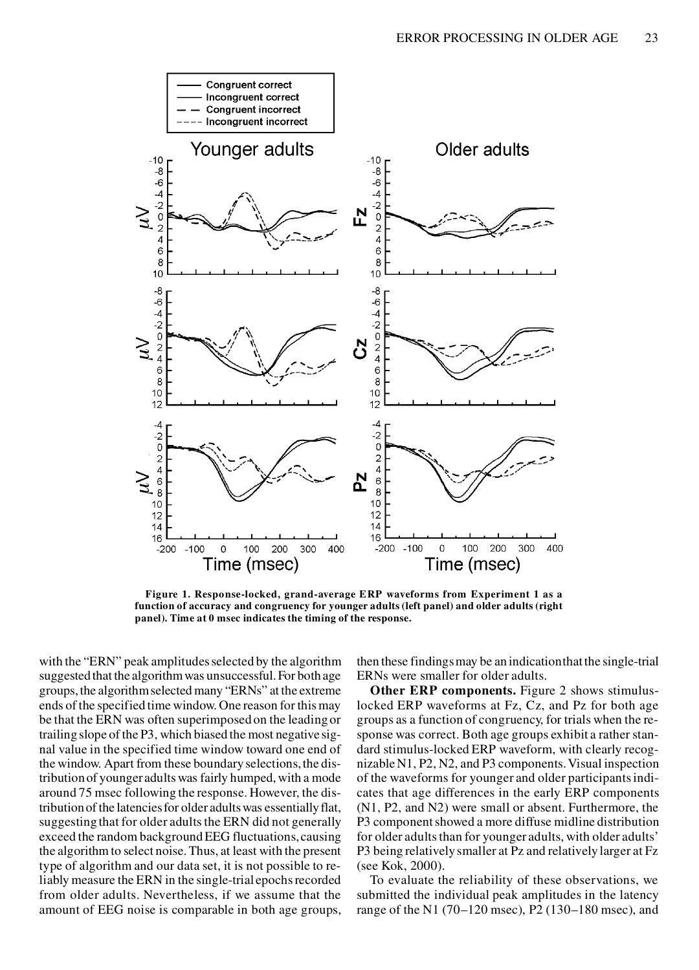

**Figure 1. Response-locked, grand-average ERP waveforms from Experiment 1 as a function of accuracy and congruency for younger adults (left panel) and older adults (right panel). Time at 0 msec indicates the timing of the response.**

with the "ERN" peak amplitudes selected by the algorithm suggested that the algorithm was unsuccessful. For both age groups, the algorithm selected many "ERNs" at the extreme ends of the specified time window. One reason for this may be that the ERN was often superimposed on the leading or trailing slope of the P3, which biased the most negative signal value in the specified time window toward one end of the window. Apart from these boundary selections, the distribution of younger adults was fairly humped, with a mode around 75 msec following the response. However, the distribution of the latencies for older adults was essentially flat, suggesting that for older adults the ERN did not generally exceed the random background EEG fluctuations, causing the algorithm to select noise. Thus, at least with the present type of algorithm and our data set, it is not possible to reliably measure the ERN in the single-trial epochs recorded from older adults. Nevertheless, if we assume that the amount of EEG noise is comparable in both age groups, then these findings may be an indication that the single-trial ERNs were smaller for older adults.

**Other ERP components.** Figure 2 shows stimuluslocked ERP waveforms at Fz, Cz, and Pz for both age groups as a function of congruency, for trials when the response was correct. Both age groups exhibit a rather standard stimulus-locked ERP waveform, with clearly recognizable N1, P2, N2, and P3 components. Visual inspection of the waveforms for younger and older participants indicates that age differences in the early ERP components (N1, P2, and N2) were small or absent. Furthermore, the P3 component showed a more diffuse midline distribution for older adults than for younger adults, with older adults' P3 being relatively smaller at Pz and relatively larger at Fz (see Kok, 2000).

To evaluate the reliability of these observations, we submitted the individual peak amplitudes in the latency range of the N1 (70–120 msec), P2 (130–180 msec), and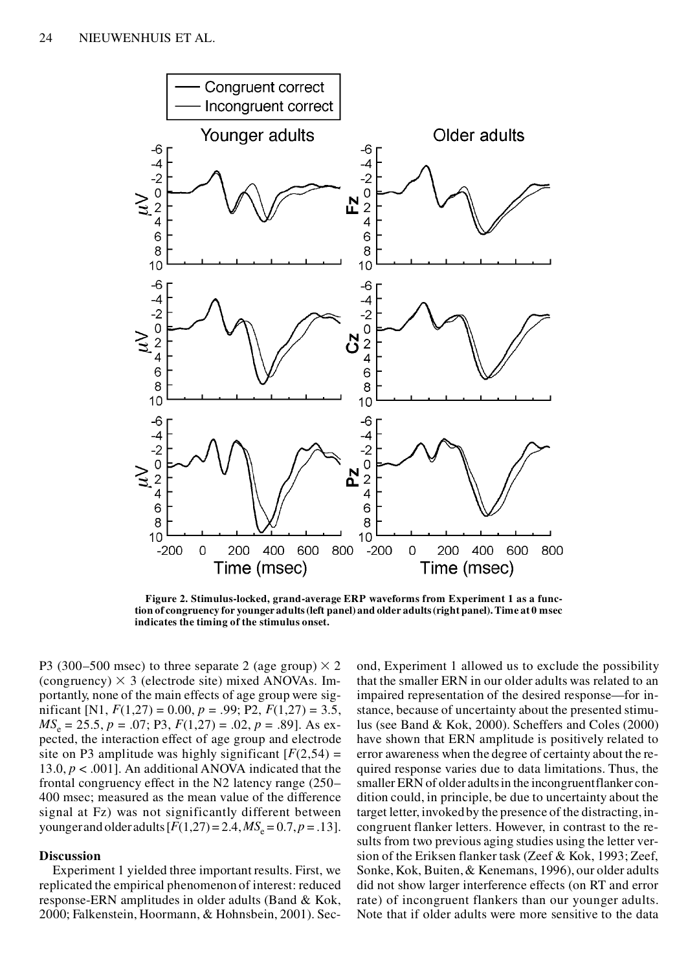

**Figure 2. Stimulus-locked, grand-average ERP waveforms from Experiment 1 as a function of congruency for younger adults (left panel) and older adults (right panel). Time at 0 msec indicates the timing of the stimulus onset.**

P3 (300–500 msec) to three separate 2 (age group)  $\times$  2 (congruency)  $\times$  3 (electrode site) mixed ANOVAs. Importantly, none of the main effects of age group were significant [N1, *F*(1,27) = 0.00, *p* = .99; P2, *F*(1,27) = 3.5,  $MS_e = 25.5, p = .07; P3, F(1,27) = .02, p = .89$ . As expected, the interaction effect of age group and electrode site on P3 amplitude was highly significant  $[F(2,54) =$ 13.0,  $p < .001$ ]. An additional ANOVA indicated that the frontal congruency effect in the N2 latency range (250– 400 msec; measured as the mean value of the difference signal at Fz) was not significantly different between younger and older adults  $[F(1,27) = 2.4, MS_e = 0.7, p = .13]$ .

### **Discussion**

Experiment 1 yielded three important results. First, we replicated the empirical phenomenon of interest: reduced response-ERN amplitudes in older adults (Band & Kok, 2000; Falkenstein, Hoormann, & Hohnsbein, 2001). Second, Experiment 1 allowed us to exclude the possibility that the smaller ERN in our older adults was related to an impaired representation of the desired response—for instance, because of uncertainty about the presented stimulus (see Band & Kok, 2000). Scheffers and Coles (2000) have shown that ERN amplitude is positively related to error awareness when the degree of certainty about the required response varies due to data limitations. Thus, the smaller ERN of older adults in the incongruent flanker condition could, in principle, be due to uncertainty about the target letter, invoked by the presence of the distracting, incongruent flanker letters. However, in contrast to the results from two previous aging studies using the letter version of the Eriksen flanker task (Zeef & Kok, 1993; Zeef, Sonke, Kok, Buiten, & Kenemans, 1996), our older adults did not show larger interference effects (on RT and error rate) of incongruent flankers than our younger adults. Note that if older adults were more sensitive to the data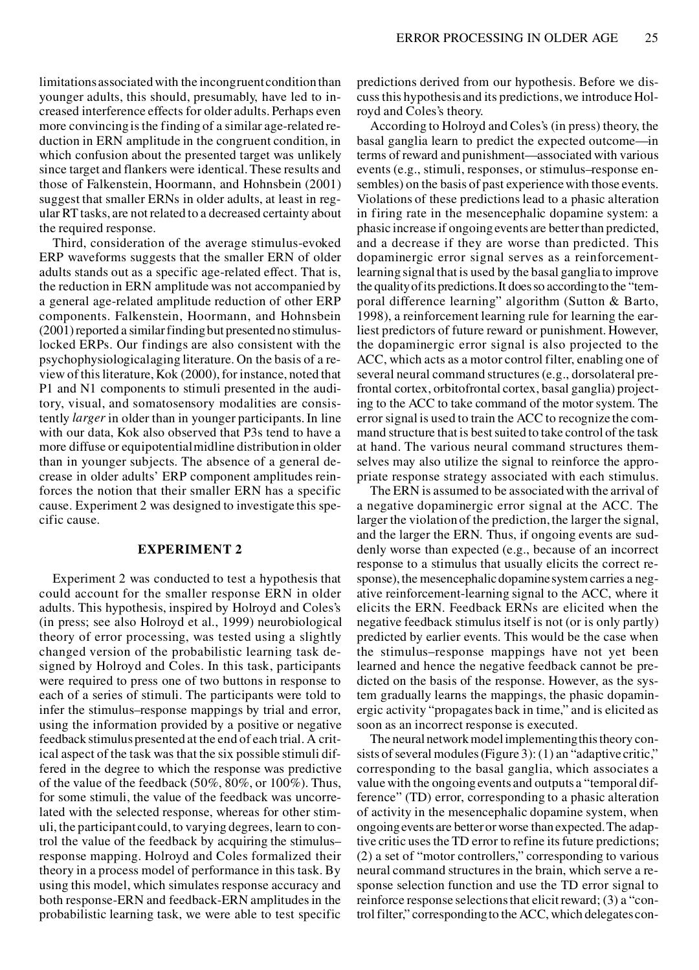limitations associated with the incongruent condition than younger adults, this should, presumably, have led to increased interference effects for older adults. Perhaps even more convincing is the finding of a similar age-related reduction in ERN amplitude in the congruent condition, in which confusion about the presented target was unlikely since target and flankers were identical. These results and those of Falkenstein, Hoormann, and Hohnsbein (2001) suggest that smaller ERNs in older adults, at least in regular RT tasks, are not related to a decreased certainty about the required response.

Third, consideration of the average stimulus-evoked ERP waveforms suggests that the smaller ERN of older adults stands out as a specific age-related effect. That is, the reduction in ERN amplitude was not accompanied by a general age-related amplitude reduction of other ERP components. Falkenstein, Hoormann, and Hohnsbein (2001) reported a similar finding but presented no stimuluslocked ERPs. Our findings are also consistent with the psychophysiological aging literature. On the basis of a review of this literature, Kok (2000), for instance, noted that P1 and N1 components to stimuli presented in the auditory, visual, and somatosensory modalities are consistently *larger* in older than in younger participants. In line with our data, Kok also observed that P3s tend to have a more diffuse or equipotential midline distribution in older than in younger subjects. The absence of a general decrease in older adults' ERP component amplitudes reinforces the notion that their smaller ERN has a specific cause. Experiment 2 was designed to investigate this specific cause.

# **EXPERIMENT 2**

Experiment 2 was conducted to test a hypothesis that could account for the smaller response ERN in older adults. This hypothesis, inspired by Holroyd and Coles's (in press; see also Holroyd et al., 1999) neurobiological theory of error processing, was tested using a slightly changed version of the probabilistic learning task designed by Holroyd and Coles. In this task, participants were required to press one of two buttons in response to each of a series of stimuli. The participants were told to infer the stimulus–response mappings by trial and error, using the information provided by a positive or negative feedback stimulus presented at the end of each trial. A critical aspect of the task was that the six possible stimuli differed in the degree to which the response was predictive of the value of the feedback (50%, 80%, or 100%). Thus, for some stimuli, the value of the feedback was uncorrelated with the selected response, whereas for other stimuli, the participant could, to varying degrees, learn to control the value of the feedback by acquiring the stimulus– response mapping. Holroyd and Coles formalized their theory in a process model of performance in this task. By using this model, which simulates response accuracy and both response-ERN and feedback-ERN amplitudes in the probabilistic learning task, we were able to test specific

predictions derived from our hypothesis. Before we discuss this hypothesis and its predictions, we introduce Holroyd and Coles's theory.

According to Holroyd and Coles's (in press) theory, the basal ganglia learn to predict the expected outcome—in terms of reward and punishment—associated with various events (e.g., stimuli, responses, or stimulus–response ensembles) on the basis of past experience with those events. Violations of these predictions lead to a phasic alteration in firing rate in the mesencephalic dopamine system: a phasic increase if ongoing events are better than predicted, and a decrease if they are worse than predicted. This dopaminergic error signal serves as a reinforcementlearning signal that is used by the basal ganglia to improve the quality of its predictions. It does so according to the "temporal difference learning" algorithm (Sutton & Barto, 1998), a reinforcement learning rule for learning the earliest predictors of future reward or punishment. However, the dopaminergic error signal is also projected to the ACC, which acts as a motor control filter, enabling one of several neural command structures (e.g., dorsolateral prefrontal cortex, orbitofrontal cortex, basal ganglia) projecting to the ACC to take command of the motor system. The error signal is used to train the ACC to recognize the command structure that is best suited to take control of the task at hand. The various neural command structures themselves may also utilize the signal to reinforce the appropriate response strategy associated with each stimulus.

The ERN is assumed to be associated with the arrival of a negative dopaminergic error signal at the ACC. The larger the violation of the prediction, the larger the signal, and the larger the ERN. Thus, if ongoing events are suddenly worse than expected (e.g., because of an incorrect response to a stimulus that usually elicits the correct response), the mesencephalic dopamine system carries a negative reinforcement-learning signal to the ACC, where it elicits the ERN. Feedback ERNs are elicited when the negative feedback stimulus itself is not (or is only partly) predicted by earlier events. This would be the case when the stimulus–response mappings have not yet been learned and hence the negative feedback cannot be predicted on the basis of the response. However, as the system gradually learns the mappings, the phasic dopaminergic activity "propagates back in time," and is elicited as soon as an incorrect response is executed.

The neural network model implementing this theory consists of several modules (Figure 3): (1) an "adaptive critic," corresponding to the basal ganglia, which associates a value with the ongoing events and outputs a "temporal difference" (TD) error, corresponding to a phasic alteration of activity in the mesencephalic dopamine system, when ongoing events are better or worse than expected. The adaptive critic uses the TD error to refine its future predictions; (2) a set of "motor controllers," corresponding to various neural command structures in the brain, which serve a response selection function and use the TD error signal to reinforce response selections that elicit reward; (3) a "control filter," corresponding to the ACC, which delegatescon-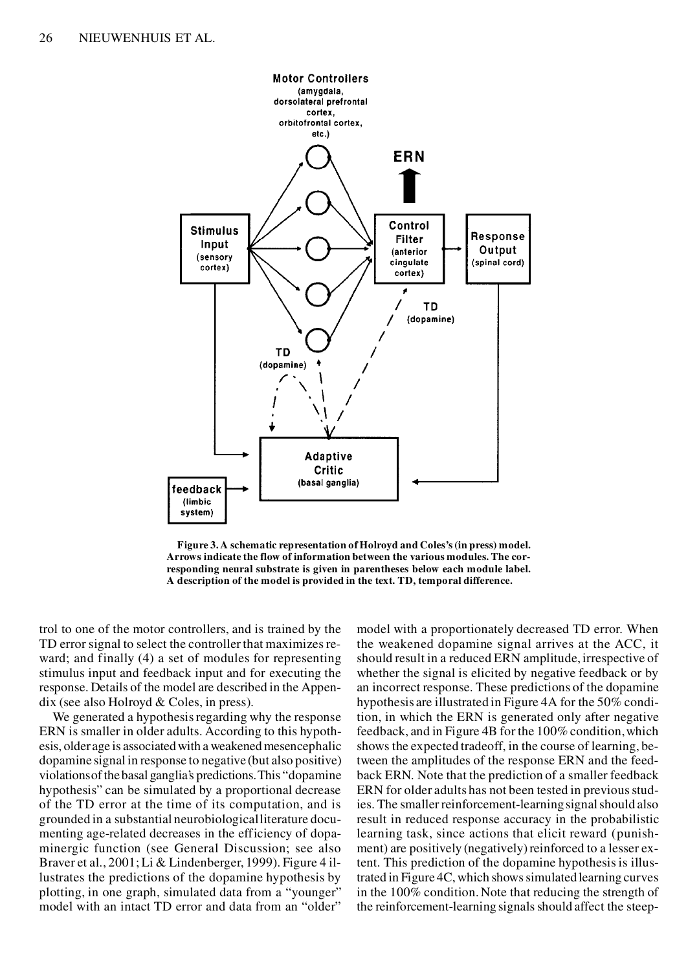

**Figure 3. A schematic representation of Holroyd and Coles's (in press) model. Arrows indicate the flow of information between the various modules. The cor responding neural substrate is given in parentheses below each module label. A description of the model is provided in the text. TD, temporal difference.**

trol to one of the motor controllers, and is trained by the TD error signal to select the controller that maximizes reward; and finally (4) a set of modules for representing stimulus input and feedback input and for executing the response. Details of the model are described in the Appendix (see also Holroyd & Coles, in press).

We generated a hypothesis regarding why the response ERN is smaller in older adults. According to this hypothesis, older age is associated with a weakened mesencephalic dopamine signal in response to negative (but also positive) violations of the basal ganglia's predictions. This "dopamine hypothesis" can be simulated by a proportional decrease of the TD error at the time of its computation, and is grounded in a substantial neurobiological literature documenting age-related decreases in the efficiency of dopaminergic function (see General Discussion; see also Braver et al., 2001; Li & Lindenberger, 1999). Figure 4 illustrates the predictions of the dopamine hypothesis by plotting, in one graph, simulated data from a "younger" model with an intact TD error and data from an "older"

model with a proportionately decreased TD error. When the weakened dopamine signal arrives at the ACC, it should result in a reduced ERN amplitude, irrespective of whether the signal is elicited by negative feedback or by an incorrect response. These predictions of the dopamine hypothesis are illustrated in Figure 4A for the 50% condition, in which the ERN is generated only after negative feedback, and in Figure 4B for the 100% condition, which shows the expected tradeoff, in the course of learning, between the amplitudes of the response ERN and the feedback ERN. Note that the prediction of a smaller feedback ERN for older adults has not been tested in previous studies. The smaller reinforcement-learning signal should also result in reduced response accuracy in the probabilistic learning task, since actions that elicit reward (punishment) are positively (negatively) reinforced to a lesser extent. This prediction of the dopamine hypothesis is illustrated in Figure 4C, which shows simulated learning curves in the 100% condition. Note that reducing the strength of the reinforcement-learning signals should affect the steep-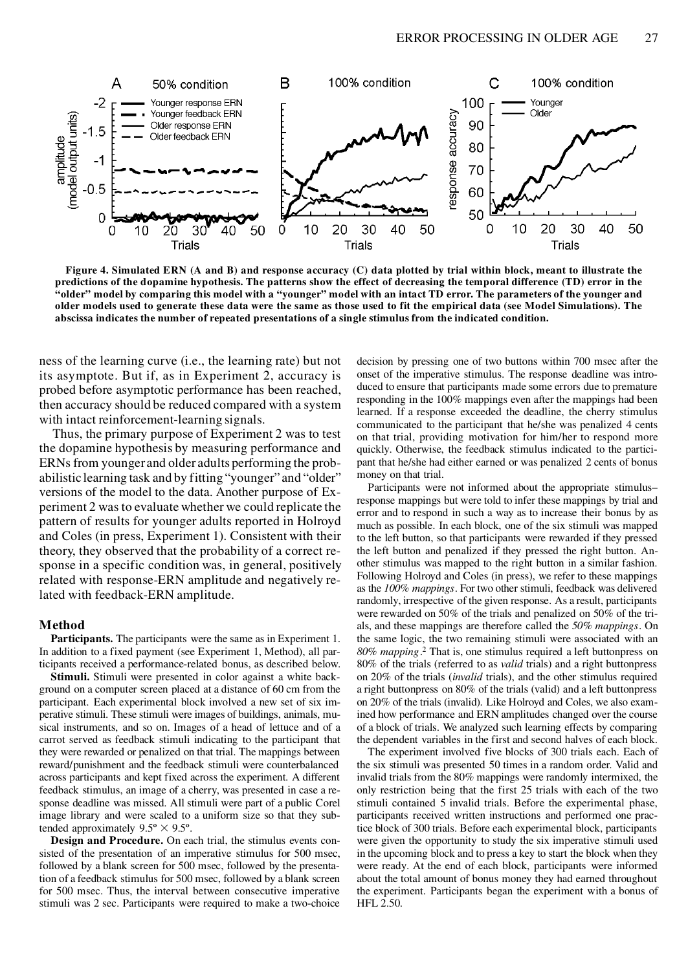

**Figure 4. Simulated ERN (A and B) and response accuracy (C) data plotted by trial within block, meant to illustrate the predictions of the dopamine hypothesis. The patterns show the effect of decreasing the temporal difference (TD) error in the "older" model by comparing this model with a "younger" model with an intact TD error. The parameters of the younger and older models used to generate these data were the same as those used to fit the empirical data (see Model Simulations). The abscissa indicates the number of repeated presentations of a single stimulus from the indicated condition.**

ness of the learning curve (i.e., the learning rate) but not its asymptote. But if, as in Experiment 2, accuracy is probed before asymptotic performance has been reached, then accuracy should be reduced compared with a system with intact reinforcement-learning signals.

Thus, the primary purpose of Experiment 2 was to test the dopamine hypothesis by measuring performance and ERNs from younger and older adults performing the probabilistic learning task and by fitting "younger" and "older" versions of the model to the data. Another purpose of Experiment 2 was to evaluate whether we could replicate the pattern of results for younger adults reported in Holroyd and Coles (in press, Experiment 1). Consistent with their theory, they observed that the probability of a correct response in a specific condition was, in general, positively related with response-ERN amplitude and negatively related with feedback-ERN amplitude.

#### **Method**

**Participants.** The participants were the same as in Experiment 1. In addition to a fixed payment (see Experiment 1, Method), all participants received a performance-related bonus, as described below.

**Stimuli.** Stimuli were presented in color against a white background on a computer screen placed at a distance of 60 cm from the participant. Each experimental block involved a new set of six imperative stimuli. These stimuli were images of buildings, animals, mu sical instruments, and so on. Images of a head of lettuce and of a carrot served as feedback stimuli indicating to the participant that they were rewarded or penalized on that trial. The mappings between reward/punishment and the feedback stimuli were counterbalanced across participants and kept fixed across the experiment. A different feedback stimulus, an image of a cherry, was presented in case a re sponse deadline was missed. All stimuli were part of a public Corel image library and were scaled to a uniform size so that they subtended approximately  $9.5^{\circ} \times 9.5^{\circ}$ .

**Design and Procedure.** On each trial, the stimulus events con sisted of the presentation of an imperative stimulus for 500 msec, followed by a blank screen for 500 msec, followed by the presentation of a feedback stimulus for 500 msec, followed by a blank screen for 500 msec. Thus, the interval between consecutive imperative stimuli was 2 sec. Participants were required to make a two-choice

decision by pressing one of two buttons within 700 msec after the onset of the imperative stimulus. The response deadline was introduced to ensure that participants made some errors due to premature responding in the 100% mappings even after the mappings had been learned. If a response exceeded the deadline, the cherry stimulus communicated to the participant that he/she was penalized 4 cents on that trial, providing motivation for him/her to respond more quickly. Otherwise, the feedback stimulus indicated to the participant that he/she had either earned or was penalized 2 cents of bonus money on that trial.

Participants were not informed about the appropriate stimulus– response mappings but were told to infer these mappings by trial and error and to respond in such a way as to increase their bonus by as much as possible. In each block, one of the six stimuli was mapped to the left button, so that participants were rewarded if they pressed the left button and penalized if they pressed the right button. Another stimulus was mapped to the right button in a similar fashion. Following Holroyd and Coles (in press), we refer to these mappings as the *100% mappings*. For two other stimuli, feedback was delivered randomly, irrespective of the given response. As a result, participants were rewarded on 50% of the trials and penalized on 50% of the trials, and these mappings are therefore called the *50% mappings*. On the same logic, the two remaining stimuli were associated with an *80% mapping*.<sup>2</sup> That is, one stimulus required a left buttonpress on 80% of the trials (referred to as *valid* trials) and a right buttonpress on 20% of the trials (*invalid* trials), and the other stimulus required a right buttonpress on 80% of the trials (valid) and a left buttonpress on 20% of the trials (invalid). Like Holroyd and Coles, we also examined how performance and ERN amplitudes changed over the course of a block of trials. We analyzed such learning effects by comparing the dependent variables in the first and second halves of each block.

The experiment involved five blocks of 300 trials each. Each of the six stimuli was presented 50 times in a random order. Valid and invalid trials from the 80% mappings were randomly intermixed, the only restriction being that the first 25 trials with each of the two stimuli contained 5 invalid trials. Before the experimental phase, participants received written instructions and performed one practice block of 300 trials. Before each experimental block, participants were given the opportunity to study the six imperative stimuli used in the upcoming block and to press a key to start the block when they were ready. At the end of each block, participants were informed about the total amount of bonus money they had earned throughout the experiment. Participants began the experiment with a bonus of HFL 2.50.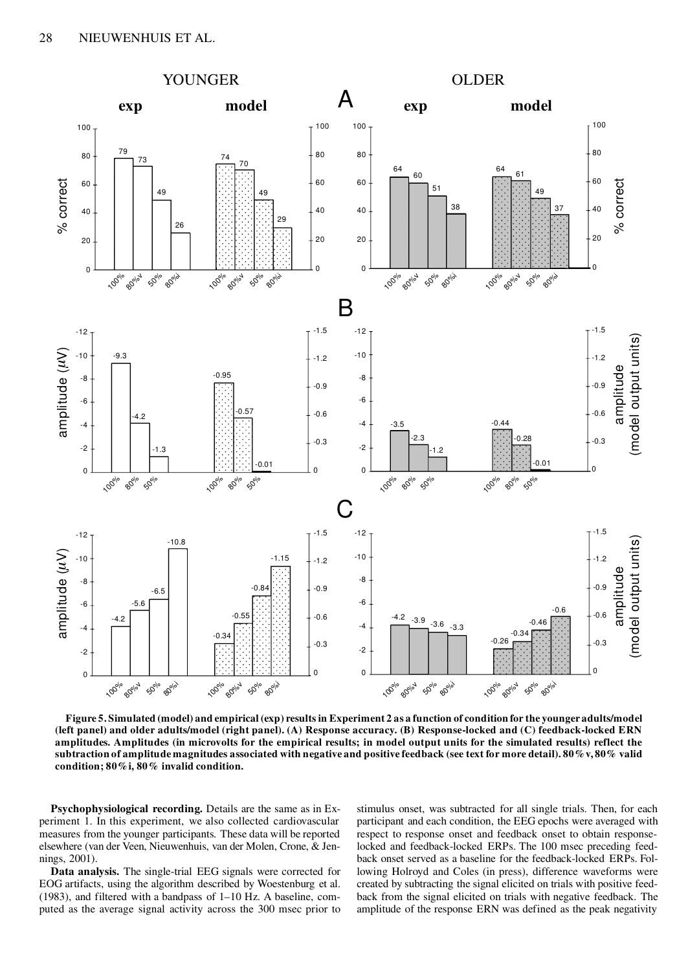

**Figure 5. Simulated (model) and empirical (exp) results in Experiment 2 as a function of condition for the younger adults/model (left panel) and older adults/model (right panel). (A) Response accuracy. (B) Response-locked and (C) feedback-locked ERN amplitudes. Amplitudes (in microvolts for the empirical results; in model output units for the simulated results) reflect the subtraction of amplitude magnitudes associated with negative and positive feedback (see text for more detail). 80%v, 80% valid condition; 80%i, 80% invalid condition.**

**Psychophysiological recording.** Details are the same as in Experiment 1. In this experiment, we also collected cardiovascular measures from the younger participants. These data will be reported elsewhere (van der Veen, Nieuwenhuis, van der Molen, Crone, & Jennings, 2001).

**Data analysis.** The single-trial EEG signals were corrected for EOG artifacts, using the algorithm described by Woestenburg et al. (1983), and filtered with a bandpass of 1–10 Hz. A baseline, com puted as the average signal activity across the 300 msec prior to stimulus onset, was subtracted for all single trials. Then, for each participant and each condition, the EEG epochs were averaged with respect to response onset and feedback onset to obtain responselocked and feedback-locked ERPs. The 100 msec preceding feedback onset served as a baseline for the feedback-locked ERPs. Following Holroyd and Coles (in press), difference waveforms were created by subtracting the signal elicited on trials with positive feedback from the signal elicited on trials with negative feedback. The amplitude of the response ERN was defined as the peak negativity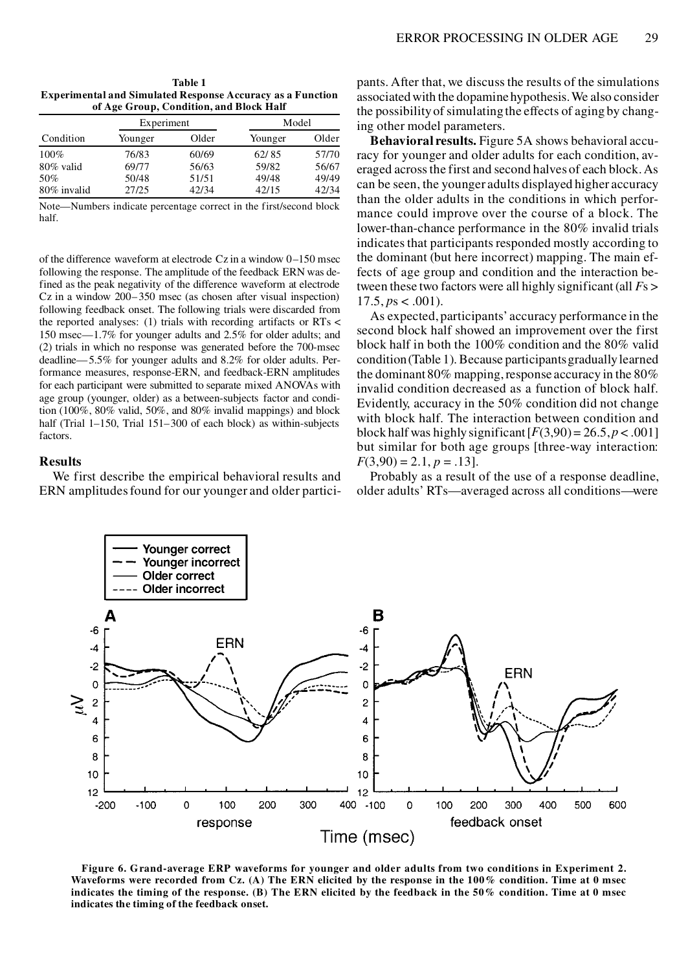| Table 1                                                           |
|-------------------------------------------------------------------|
| <b>Experimental and Simulated Response Accuracy as a Function</b> |
| of Age Group, Condition, and Block Half                           |

|             | Experiment |       | Model   |       |
|-------------|------------|-------|---------|-------|
| Condition   | Younger    | Older | Younger | Older |
| 100%        | 76/83      | 60/69 | 62/85   | 57/70 |
| 80% valid   | 69/77      | 56/63 | 59/82   | 56/67 |
| 50%         | 50/48      | 51/51 | 49/48   | 49/49 |
| 80% invalid | 27/25      | 42/34 | 42/15   | 42/34 |

Note—Numbers indicate percentage correct in the first/second block half.

of the difference waveform at electrode Cz in a window 0–150 msec following the response. The amplitude of the feedback ERN was defined as the peak negativity of the difference waveform at electrode Cz in a window 200–350 msec (as chosen after visual inspection) following feedback onset. The following trials were discarded from the reported analyses: (1) trials with recording artifacts or  $RTs <$ 150 msec—1.7% for younger adults and 2.5% for older adults; and (2) trials in which no response was generated before the 700-msec deadline—5.5% for younger adults and 8.2% for older adults. Performance measures, response-ERN, and feedback-ERN amplitudes for each participant were submitted to separate mixed ANOVAs with age group (younger, older) as a between-subjects factor and condition (100%, 80% valid, 50%, and 80% invalid mappings) and block half (Trial 1–150, Trial 151–300 of each block) as within-subjects factors.

#### **Results**

We first describe the empirical behavioral results and ERN amplitudes found for our younger and older participants. After that, we discuss the results of the simulations associated with the dopamine hypothesis. We also consider the possibility of simulating the effects of aging by changing other model parameters.

**Behavioral results.** Figure 5A shows behavioral accuracy for younger and older adults for each condition, averaged across the first and second halves of each block. As can be seen, the younger adults displayed higher accuracy than the older adults in the conditions in which performance could improve over the course of a block. The lower-than-chance performance in the 80% invalid trials indicates that participants responded mostly according to the dominant (but here incorrect) mapping. The main effects of age group and condition and the interaction between these two factors were all highly significant (all *F*s >  $17.5, ps < .001$ ).

As expected, participants' accuracy performance in the second block half showed an improvement over the first block half in both the 100% condition and the 80% valid condition (Table 1). Because participants gradually learned the dominant 80% mapping, response accuracy in the 80% invalid condition decreased as a function of block half. Evidently, accuracy in the 50% condition did not change with block half. The interaction between condition and block half was highly significant  $[F(3,90) = 26.5, p < .001]$ but similar for both age groups [three-way interaction:  $F(3,90) = 2.1, p = .13$ .

Probably as a result of the use of a response deadline, older adults' RTs—averaged across all conditions—were



**Figure 6. Grand-average ERP waveforms for younger and older adults from two conditions in Experiment 2. Waveforms were recorded from Cz. (A) The ERN elicited by the response in the 100% condition. Time at 0 msec indicates the timing of the response. (B) The ERN elicited by the feedback in the 50% condition. Time at 0 msec indicates the timing of the feedback onset.**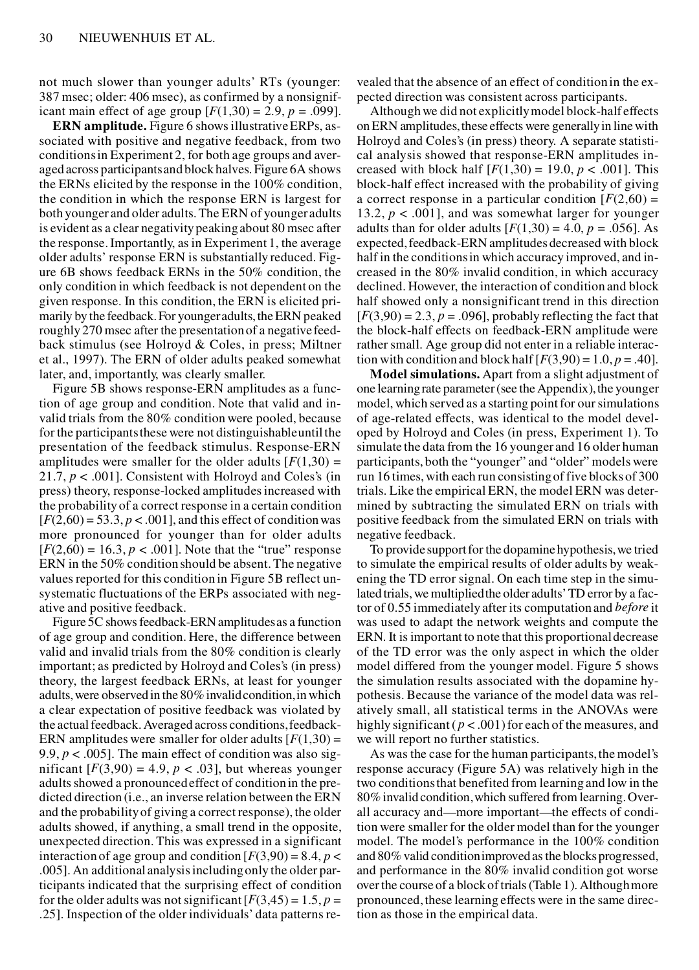not much slower than younger adults' RTs (younger: 387 msec; older: 406 msec), as confirmed by a nonsignificant main effect of age group  $[F(1,30) = 2.9, p = .099]$ .

**ERN amplitude.** Figure 6 shows illustrative ERPs, associated with positive and negative feedback, from two conditions in Experiment 2, for both age groups and averaged across participants and block halves. Figure 6A shows the ERNs elicited by the response in the 100% condition, the condition in which the response ERN is largest for both younger and older adults. The ERN of younger adults is evident as a clear negativity peaking about 80 msec after the response. Importantly, as in Experiment 1, the average older adults' response ERN is substantially reduced. Figure 6B shows feedback ERNs in the 50% condition, the only condition in which feedback is not dependent on the given response. In this condition, the ERN is elicited primarily by the feedback. For younger adults, the ERN peaked roughly 270 msec after the presentation of a negative feedback stimulus (see Holroyd & Coles, in press; Miltner et al., 1997). The ERN of older adults peaked somewhat later, and, importantly, was clearly smaller.

Figure 5B shows response-ERN amplitudes as a function of age group and condition. Note that valid and invalid trials from the 80% condition were pooled, because for the participants these were not distinguishable until the presentation of the feedback stimulus. Response-ERN amplitudes were smaller for the older adults  $[F(1,30) =$ 21.7,  $p < .001$ ]. Consistent with Holroyd and Coles's (in press) theory, response-locked amplitudes increased with the probability of a correct response in a certain condition  $[F(2,60) = 53.3, p < .001]$ , and this effect of condition was more pronounced for younger than for older adults  $[F(2,60) = 16.3, p < .001]$ . Note that the "true" response ERN in the 50% condition should be absent. The negative values reported for this condition in Figure 5B reflect unsystematic fluctuations of the ERPs associated with negative and positive feedback.

Figure 5C shows feedback-ERN amplitudes as a function of age group and condition. Here, the difference between valid and invalid trials from the 80% condition is clearly important; as predicted by Holroyd and Coles's (in press) theory, the largest feedback ERNs, at least for younger adults, were observed in the 80% invalid condition, in which a clear expectation of positive feedback was violated by the actual feedback. Averaged across conditions, feedback-ERN amplitudes were smaller for older adults  $[F(1,30) =$ 9.9,  $p < .005$ ]. The main effect of condition was also significant  $[F(3,90) = 4.9, p < .03]$ , but whereas younger adults showed a pronounced effect of condition in the predicted direction (i.e., an inverse relation between the ERN and the probability of giving a correct response), the older adults showed, if anything, a small trend in the opposite, unexpected direction. This was expressed in a significant interaction of age group and condition  $[F(3,90) = 8.4, p <$ .005]. An additional analysis including only the older participants indicated that the surprising effect of condition for the older adults was not significant  $[F(3,45) = 1.5, p =$ .25]. Inspection of the older individuals' data patterns revealed that the absence of an effect of condition in the expected direction was consistent across participants.

Although we did not explicitly model block-half effects on ERN amplitudes, these effects were generally in line with Holroyd and Coles's (in press) theory. A separate statistical analysis showed that response-ERN amplitudes increased with block half  $[F(1,30) = 19.0, p < .001]$ . This block-half effect increased with the probability of giving a correct response in a particular condition  $[F(2,60) =$ 13.2,  $p < .001$ , and was somewhat larger for younger adults than for older adults  $[F(1,30) = 4.0, p = .056]$ . As expected, feedback-ERN amplitudes decreased with block half in the conditions in which accuracy improved, and increased in the 80% invalid condition, in which accuracy declined. However, the interaction of condition and block half showed only a nonsignificant trend in this direction  $[F(3,90) = 2.3, p = .096]$ , probably reflecting the fact that the block-half effects on feedback-ERN amplitude were rather small. Age group did not enter in a reliable interaction with condition and block half  $[F(3,90) = 1.0, p = .40]$ .

**Model simulations.** Apart from a slight adjustment of one learning rate parameter (see the Appendix), the younger model, which served as a starting point for our simulations of age-related effects, was identical to the model developed by Holroyd and Coles (in press, Experiment 1). To simulate the data from the 16 younger and 16 older human participants, both the "younger" and "older" models were run 16 times, with each run consisting of five blocks of 300 trials. Like the empirical ERN, the model ERN was determined by subtracting the simulated ERN on trials with positive feedback from the simulated ERN on trials with negative feedback.

To provide support for the dopamine hypothesis, we tried to simulate the empirical results of older adults by weakening the TD error signal. On each time step in the simulated trials, we multiplied the older adults'TD error by a factor of 0.55 immediately after its computation and *before* it was used to adapt the network weights and compute the ERN. It is important to note that this proportional decrease of the TD error was the only aspect in which the older model differed from the younger model. Figure 5 shows the simulation results associated with the dopamine hypothesis. Because the variance of the model data was relatively small, all statistical terms in the ANOVAs were highly significant ( $p < .001$ ) for each of the measures, and we will report no further statistics.

As was the case for the human participants, the model's response accuracy (Figure 5A) was relatively high in the two conditions that benefited from learning and low in the 80% invalid condition, which suffered from learning. Overall accuracy and—more important—the effects of condition were smaller for the older model than for the younger model. The model's performance in the 100% condition and 80% valid condition improved as the blocks progressed, and performance in the 80% invalid condition got worse over the course of a block of trials (Table 1). Although more pronounced, these learning effects were in the same direction as those in the empirical data.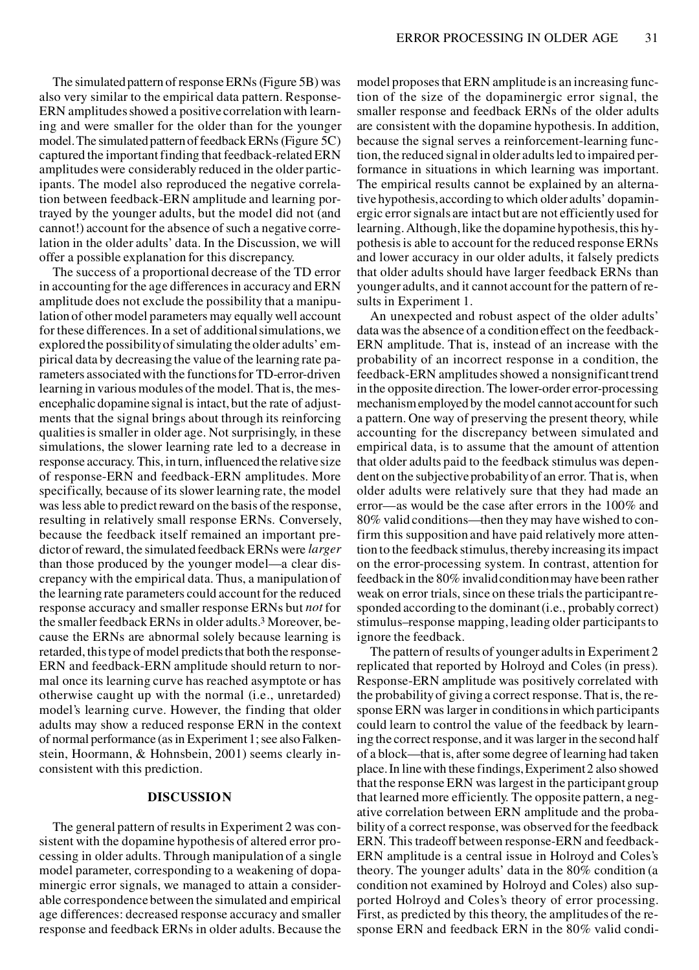The simulated pattern of response ERNs (Figure 5B) was also very similar to the empirical data pattern. Response-ERN amplitudes showed a positive correlation with learning and were smaller for the older than for the younger model. The simulated pattern of feedback ERNs (Figure 5C) captured the important finding that feedback-related ERN amplitudes were considerably reduced in the older participants. The model also reproduced the negative correlation between feedback-ERN amplitude and learning portrayed by the younger adults, but the model did not (and cannot!) account for the absence of such a negative correlation in the older adults' data. In the Discussion, we will offer a possible explanation for this discrepancy.

The success of a proportional decrease of the TD error in accounting for the age differences in accuracy and ERN amplitude does not exclude the possibility that a manipulation of other model parameters may equally well account for these differences. In a set of additional simulations, we explored the possibility of simulating the older adults' empirical data by decreasing the value of the learning rate parameters associated with the functions for TD-error-driven learning in various modules of the model. That is, the mesencephalic dopamine signal is intact, but the rate of adjustments that the signal brings about through its reinforcing qualities is smaller in older age. Not surprisingly, in these simulations, the slower learning rate led to a decrease in response accuracy. This, in turn, influenced the relative size of response-ERN and feedback-ERN amplitudes. More specifically, because of its slower learning rate, the model was less able to predict reward on the basis of the response, resulting in relatively small response ERNs. Conversely, because the feedback itself remained an important predictor of reward, the simulated feedback ERNs were *larger* than those produced by the younger model—a clear discrepancy with the empirical data. Thus, a manipulation of the learning rate parameters could account for the reduced response accuracy and smaller response ERNs but *not* for the smaller feedback ERNs in older adults.3 Moreover, because the ERNs are abnormal solely because learning is retarded, this type of model predicts that both the response-ERN and feedback-ERN amplitude should return to normal once its learning curve has reached asymptote or has otherwise caught up with the normal (i.e., unretarded) model's learning curve. However, the finding that older adults may show a reduced response ERN in the context of normal performance (as in Experiment 1; see also Falkenstein, Hoormann, & Hohnsbein, 2001) seems clearly inconsistent with this prediction.

# **DISCUSSION**

The general pattern of results in Experiment 2 was consistent with the dopamine hypothesis of altered error processing in older adults. Through manipulation of a single model parameter, corresponding to a weakening of dopaminergic error signals, we managed to attain a considerable correspondence between the simulated and empirical age differences: decreased response accuracy and smaller response and feedback ERNs in older adults. Because the model proposes that ERN amplitude is an increasing function of the size of the dopaminergic error signal, the smaller response and feedback ERNs of the older adults are consistent with the dopamine hypothesis. In addition, because the signal serves a reinforcement-learning function, the reduced signal in older adults led to impaired performance in situations in which learning was important. The empirical results cannot be explained by an alternative hypothesis, according to which older adults' dopaminergic error signals are intact but are not efficiently used for learning. Although, like the dopamine hypothesis, this hypothesis is able to account for the reduced response ERNs and lower accuracy in our older adults, it falsely predicts that older adults should have larger feedback ERNs than younger adults, and it cannot account for the pattern of results in Experiment 1.

An unexpected and robust aspect of the older adults' data was the absence of a condition effect on the feedback-ERN amplitude. That is, instead of an increase with the probability of an incorrect response in a condition, the feedback-ERN amplitudes showed a nonsignificanttrend in the opposite direction. The lower-order error-processing mechanism employed by the model cannot account for such a pattern. One way of preserving the present theory, while accounting for the discrepancy between simulated and empirical data, is to assume that the amount of attention that older adults paid to the feedback stimulus was dependent on the subjective probability of an error. That is, when older adults were relatively sure that they had made an error—as would be the case after errors in the 100% and 80% valid conditions—then they may have wished to confirm this supposition and have paid relatively more attention to the feedback stimulus, thereby increasing its impact on the error-processing system. In contrast, attention for feedback in the 80% invalid condition may have been rather weak on error trials, since on these trials the participant responded according to the dominant (i.e., probably correct) stimulus–response mapping, leading older participants to ignore the feedback.

The pattern of results of younger adults in Experiment 2 replicated that reported by Holroyd and Coles (in press). Response-ERN amplitude was positively correlated with the probability of giving a correct response. That is, the response ERN was larger in conditions in which participants could learn to control the value of the feedback by learning the correct response, and it was larger in the second half of a block—that is, after some degree of learning had taken place. In line with these findings, Experiment2 also showed that the response ERN was largest in the participant group that learned more efficiently. The opposite pattern, a negative correlation between ERN amplitude and the probability of a correct response, was observed for the feedback ERN. This tradeoff between response-ERN and feedback-ERN amplitude is a central issue in Holroyd and Coles's theory. The younger adults' data in the 80% condition (a condition not examined by Holroyd and Coles) also supported Holroyd and Coles's theory of error processing. First, as predicted by this theory, the amplitudes of the response ERN and feedback ERN in the 80% valid condi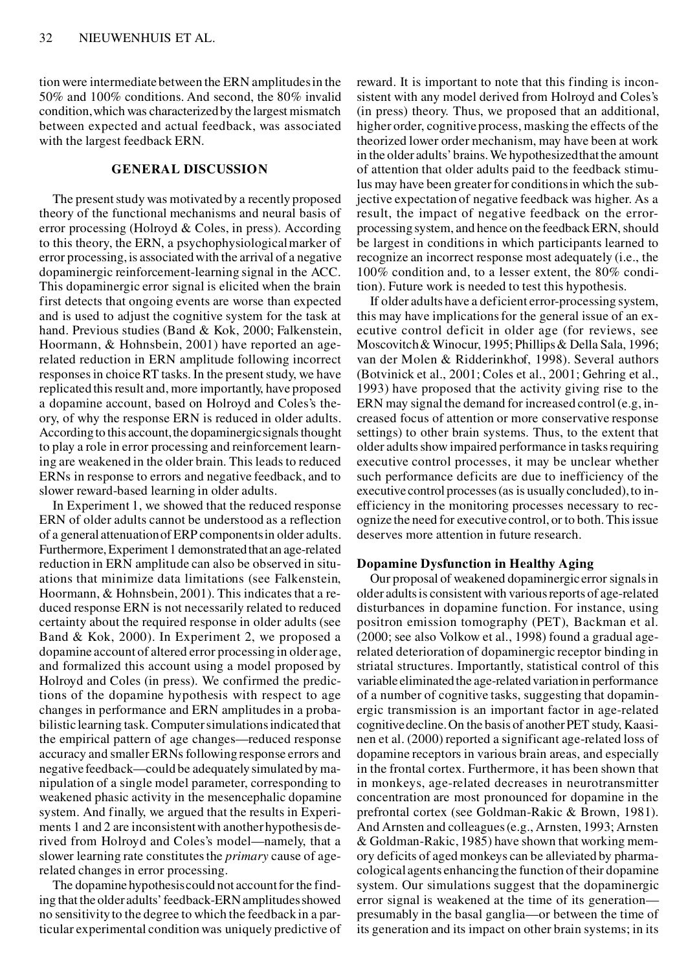tion were intermediate between the ERN amplitudes in the 50% and 100% conditions. And second, the 80% invalid condition, which was characterized by the largest mismatch between expected and actual feedback, was associated with the largest feedback ERN.

# **GENERAL DISCUSSION**

The present study was motivated by a recently proposed theory of the functional mechanisms and neural basis of error processing (Holroyd & Coles, in press). According to this theory, the ERN, a psychophysiologicalmarker of error processing, is associated with the arrival of a negative dopaminergic reinforcement-learning signal in the ACC. This dopaminergic error signal is elicited when the brain first detects that ongoing events are worse than expected and is used to adjust the cognitive system for the task at hand. Previous studies (Band & Kok, 2000; Falkenstein, Hoormann, & Hohnsbein, 2001) have reported an agerelated reduction in ERN amplitude following incorrect responses in choice RT tasks. In the present study, we have replicated this result and, more importantly, have proposed a dopamine account, based on Holroyd and Coles's theory, of why the response ERN is reduced in older adults. According to this account, the dopaminergic signals thought to play a role in error processing and reinforcement learning are weakened in the older brain. This leads to reduced ERNs in response to errors and negative feedback, and to slower reward-based learning in older adults.

In Experiment 1, we showed that the reduced response ERN of older adults cannot be understood as a reflection of a general attenuation of ERP components in older adults. Furthermore, Experiment 1 demonstrated that an age-related reduction in ERN amplitude can also be observed in situations that minimize data limitations (see Falkenstein, Hoormann, & Hohnsbein, 2001). This indicates that a reduced response ERN is not necessarily related to reduced certainty about the required response in older adults (see Band & Kok, 2000). In Experiment 2, we proposed a dopamine account of altered error processing in older age, and formalized this account using a model proposed by Holroyd and Coles (in press). We confirmed the predictions of the dopamine hypothesis with respect to age changes in performance and ERN amplitudes in a probabilistic learning task. Computer simulations indicated that the empirical pattern of age changes—reduced response accuracy and smaller ERNs following response errors and negative feedback—could be adequately simulated by manipulation of a single model parameter, corresponding to weakened phasic activity in the mesencephalic dopamine system. And finally, we argued that the results in Experiments 1 and 2 are inconsistent with another hypothesis derived from Holroyd and Coles's model—namely, that a slower learning rate constitutes the *primary* cause of agerelated changes in error processing.

The dopamine hypothesis could not account for the finding that the older adults' feedback-ERN amplitudes showed no sensitivity to the degree to which the feedback in a particular experimental condition was uniquely predictive of reward. It is important to note that this finding is inconsistent with any model derived from Holroyd and Coles's (in press) theory. Thus, we proposed that an additional, higher order, cognitive process, masking the effects of the theorized lower order mechanism, may have been at work in the older adults'brains. We hypothesized that the amount of attention that older adults paid to the feedback stimulus may have been greater for conditions in which the subjective expectation of negative feedback was higher. As a result, the impact of negative feedback on the errorprocessing system, and hence on the feedback ERN, should be largest in conditions in which participants learned to recognize an incorrect response most adequately (i.e., the 100% condition and, to a lesser extent, the 80% condition). Future work is needed to test this hypothesis.

If older adults have a deficient error-processing system, this may have implications for the general issue of an executive control deficit in older age (for reviews, see Moscovitch & Winocur, 1995; Phillips & Della Sala, 1996; van der Molen & Ridderinkhof, 1998). Several authors (Botvinick et al., 2001; Coles et al., 2001; Gehring et al., 1993) have proposed that the activity giving rise to the ERN may signal the demand for increased control (e.g, increased focus of attention or more conservative response settings) to other brain systems. Thus, to the extent that older adults show impaired performance in tasks requiring executive control processes, it may be unclear whether such performance deficits are due to inefficiency of the executive control processes (as is usually concluded), to inefficiency in the monitoring processes necessary to recognize the need for executive control, or to both. This issue deserves more attention in future research.

#### **Dopamine Dysfunction in Healthy Aging**

Our proposal of weakened dopaminergic error signals in older adults is consistent with various reports of age-related disturbances in dopamine function. For instance, using positron emission tomography (PET), Backman et al. (2000; see also Volkow et al., 1998) found a gradual agerelated deterioration of dopaminergic receptor binding in striatal structures. Importantly, statistical control of this variable eliminated the age-related variation in performance of a number of cognitive tasks, suggesting that dopaminergic transmission is an important factor in age-related cognitive decline. On the basis of another PET study, Kaasinen et al. (2000) reported a significant age-related loss of dopamine receptors in various brain areas, and especially in the frontal cortex. Furthermore, it has been shown that in monkeys, age-related decreases in neurotransmitter concentration are most pronounced for dopamine in the prefrontal cortex (see Goldman-Rakic & Brown, 1981). And Arnsten and colleagues (e.g., Arnsten, 1993; Arnsten & Goldman-Rakic, 1985) have shown that working memory deficits of aged monkeys can be alleviated by pharmacological agents enhancing the function of their dopamine system. Our simulations suggest that the dopaminergic error signal is weakened at the time of its generation presumably in the basal ganglia—or between the time of its generation and its impact on other brain systems; in its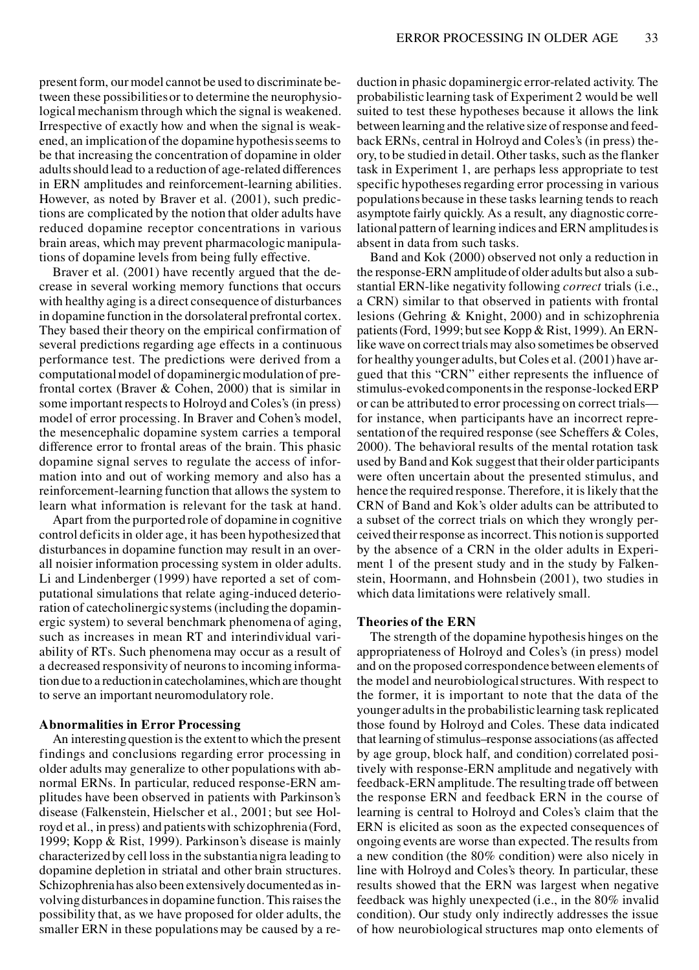present form, our model cannot be used to discriminate between these possibilities or to determine the neurophysiological mechanism through which the signal is weakened. Irrespective of exactly how and when the signal is weakened, an implication of the dopamine hypothesis seems to be that increasing the concentration of dopamine in older adults should lead to a reduction of age-related differences in ERN amplitudes and reinforcement-learning abilities. However, as noted by Braver et al. (2001), such predictions are complicated by the notion that older adults have reduced dopamine receptor concentrations in various brain areas, which may prevent pharmacologic manipulations of dopamine levels from being fully effective.

Braver et al. (2001) have recently argued that the decrease in several working memory functions that occurs with healthy aging is a direct consequence of disturbances in dopamine function in the dorsolateral prefrontal cortex. They based their theory on the empirical confirmation of several predictions regarding age effects in a continuous performance test. The predictions were derived from a computational model of dopaminergic modulation of prefrontal cortex (Braver & Cohen, 2000) that is similar in some important respects to Holroyd and Coles's (in press) model of error processing. In Braver and Cohen's model, the mesencephalic dopamine system carries a temporal difference error to frontal areas of the brain. This phasic dopamine signal serves to regulate the access of information into and out of working memory and also has a reinforcement-learning function that allows the system to learn what information is relevant for the task at hand.

Apart from the purported role of dopamine in cognitive control deficits in older age, it has been hypothesized that disturbances in dopamine function may result in an overall noisier information processing system in older adults. Li and Lindenberger (1999) have reported a set of computational simulations that relate aging-induced deterioration of catecholinergic systems (including the dopaminergic system) to several benchmark phenomena of aging, such as increases in mean RT and interindividual variability of RTs. Such phenomena may occur as a result of a decreased responsivity of neurons to incoming information due to a reduction in catecholamines, which are thought to serve an important neuromodulatory role.

# **Abnormalities in Error Processing**

An interesting question is the extent to which the present findings and conclusions regarding error processing in older adults may generalize to other populations with abnormal ERNs. In particular, reduced response-ERN amplitudes have been observed in patients with Parkinson's disease (Falkenstein, Hielscher et al., 2001; but see Holroyd et al., in press) and patients with schizophrenia (Ford, 1999; Kopp & Rist, 1999). Parkinson's disease is mainly characterized by cell loss in the substantia nigra leading to dopamine depletion in striatal and other brain structures. Schizophrenia has also been extensively documented as involving disturbances in dopamine function. This raises the possibility that, as we have proposed for older adults, the smaller ERN in these populations may be caused by a reduction in phasic dopaminergic error-related activity. The probabilistic learning task of Experiment 2 would be well suited to test these hypotheses because it allows the link between learning and the relative size of response and feedback ERNs, central in Holroyd and Coles's (in press) theory, to be studied in detail. Other tasks, such as the flanker task in Experiment 1, are perhaps less appropriate to test specific hypotheses regarding error processing in various populations because in these tasks learning tends to reach asymptote fairly quickly. As a result, any diagnostic correlational pattern of learning indices and ERN amplitudes is absent in data from such tasks.

Band and Kok (2000) observed not only a reduction in the response-ERN amplitude of older adults but also a substantial ERN-like negativity following *correct* trials (i.e., a CRN) similar to that observed in patients with frontal lesions (Gehring & Knight, 2000) and in schizophrenia patients (Ford, 1999; but see Kopp & Rist, 1999). An ERNlike wave on correct trials may also sometimes be observed for healthy younger adults, but Coles et al. (2001) have argued that this "CRN" either represents the influence of stimulus-evoked components in the response-locked ERP or can be attributed to error processing on correct trials for instance, when participants have an incorrect representation of the required response (see Scheffers & Coles, 2000). The behavioral results of the mental rotation task used by Band and Kok suggest that their older participants were often uncertain about the presented stimulus, and hence the required response. Therefore, it is likely that the CRN of Band and Kok's older adults can be attributed to a subset of the correct trials on which they wrongly perceived their response as incorrect. This notion is supported by the absence of a CRN in the older adults in Experiment 1 of the present study and in the study by Falkenstein, Hoormann, and Hohnsbein (2001), two studies in which data limitations were relatively small.

#### **Theories of the ERN**

The strength of the dopamine hypothesis hinges on the appropriateness of Holroyd and Coles's (in press) model and on the proposed correspondence between elements of the model and neurobiological structures. With respect to the former, it is important to note that the data of the younger adults in the probabilistic learning task replicated those found by Holroyd and Coles. These data indicated that learning of stimulus–response associations (as affected by age group, block half, and condition) correlated positively with response-ERN amplitude and negatively with feedback-ERN amplitude. The resulting trade off between the response ERN and feedback ERN in the course of learning is central to Holroyd and Coles's claim that the ERN is elicited as soon as the expected consequences of ongoing events are worse than expected. The results from a new condition (the 80% condition) were also nicely in line with Holroyd and Coles's theory. In particular, these results showed that the ERN was largest when negative feedback was highly unexpected (i.e., in the 80% invalid condition). Our study only indirectly addresses the issue of how neurobiological structures map onto elements of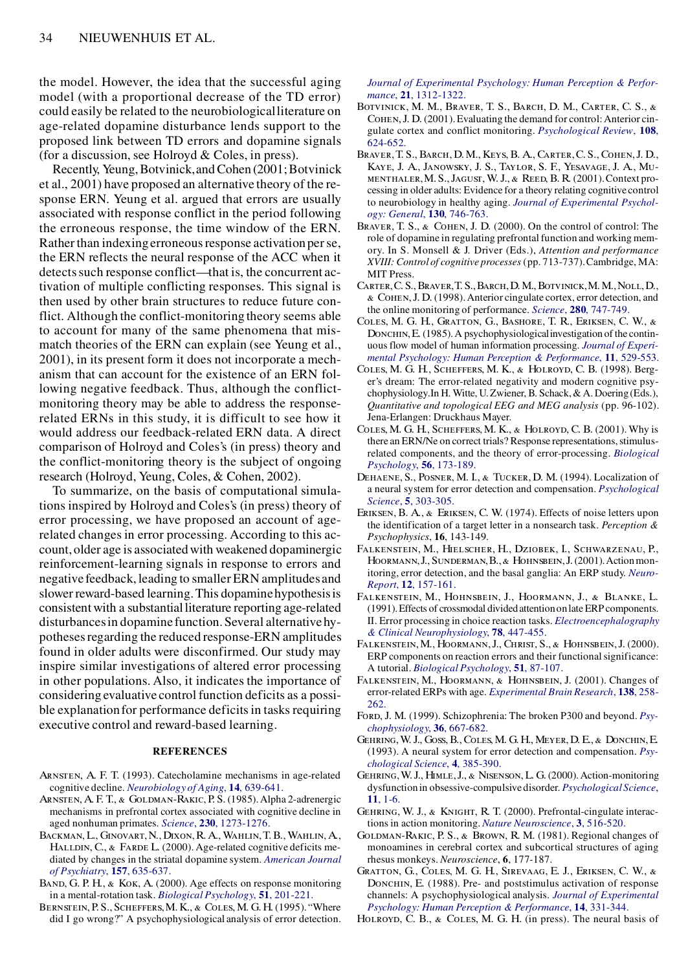the model. However, the idea that the successful aging model (with a proportional decrease of the TD error) could easily be related to the neurobiological literature on age-related dopamine disturbance lends support to the proposed link between TD errors and dopamine signals (for a discussion, see Holroyd & Coles, in press).

Recently, Yeung, Botvinick, and Cohen (2001; Botvinick et al., 2001) have proposed an alternative theory of the response ERN. Yeung et al. argued that errors are usually associated with response conflict in the period following the erroneous response, the time window of the ERN. Rather than indexing erroneous response activation per se, the ERN reflects the neural response of the ACC when it detects such response conflict—that is, the concurrent activation of multiple conflicting responses. This signal is then used by other brain structures to reduce future conflict. Although the conflict-monitoring theory seems able to account for many of the same phenomena that mismatch theories of the ERN can explain (see Yeung et al., 2001), in its present form it does not incorporate a mechanism that can account for the existence of an ERN following negative feedback. Thus, although the conflictmonitoring theory may be able to address the responserelated ERNs in this study, it is difficult to see how it would address our feedback-related ERN data. A direct comparison of Holroyd and Coles's (in press) theory and the conflict-monitoring theory is the subject of ongoing research (Holroyd, Yeung, Coles, & Cohen, 2002).

To summarize, on the basis of computational simulations inspired by Holroyd and Coles's (in press) theory of error processing, we have proposed an account of agerelated changes in error processing. According to this account, older age is associated with weakened dopaminergic reinforcement-learning signals in response to errors and negative feedback, leading to smaller ERN amplitudes and slower reward-based learning. This dopamine hypothesisis consistent with a substantial literature reporting age-related disturbances in dopamine function. Several alternative hypotheses regarding the reduced response-ERN amplitudes found in older adults were disconfirmed. Our study may inspire similar investigations of altered error processing in other populations. Also, it indicates the importance of considering evaluative control function deficits as a possible explanation for performance deficits in tasks requiring executive control and reward-based learning.

## **REFERENCES**

- Arnsten, A. F. T. (1993). Catecholamine mechanisms in age-related cognitive decline. *[Neurobiology of Aging](http://www.ingentaconnect.com/content/external-references?article=/0197-4580^28^2914L.639[aid=2386016])*, **14**, 639-641.
- ARNSTEN, A. F. T., & GOLDMAN-RAKIC, P. S. (1985). Alpha 2-adrenergic mechanisms in prefrontal cortex associated with cognitive decline in aged nonhuman primates. *Science*, **230**[, 1273-1276.](http://www.ingentaconnect.com/content/external-references?article=/0036-8075^28^29230L.1273[aid=846654])
- Backman, L., Ginovart, N., Dixon, R. A., Wahlin, T. B., Wahlin, A., HALLDIN, C., & FARDE L. (2000). Age-related cognitive deficits mediated by changes in the striatal dopamine system. *[American Journal](http://www.ingentaconnect.com/content/external-references?article=/0002-953X^28^29157L.635[aid=2386017]) [of Psychiatry](http://www.ingentaconnect.com/content/external-references?article=/0002-953X^28^29157L.635[aid=2386017])*, **157**, 635-637.
- BAND, G. P. H., & KOK, A. (2000). Age effects on response monitoring in a mental-rotation task. *[Biological Psychology](http://www.ingentaconnect.com/content/external-references?article=/0301-0511^28^2951L.201[aid=2386018])*, **51**, 201-221.
- BERNSTEIN, P. S., SCHEFFERS, M. K., & COLES, M. G. H. (1995). "Where did I go wrong?" A psychophysiological analysis of error detection.

*[Journal of Experimental Psychology:](http://www.ingentaconnect.com/content/external-references?article=/0096-1523^28^2921L.1312[aid=2386019]) Human Perception & Perfor mance*, **21**[, 1312-1322.](http://www.ingentaconnect.com/content/external-references?article=/0096-1523^28^2921L.1312[aid=2386019])

- Botvinick, M. M., Braver, T. S., Barch, D. M., Carter, C. S., & Cohen, J. D. (2001). Evaluating the demand for control: Anterior cingulate cortex and conflict monitoring. *[Psychological Review](http://www.ingentaconnect.com/content/external-references?article=/0033-295X^28^29108L.624[aid=2386020])*, **108**, [624-652.](http://www.ingentaconnect.com/content/external-references?article=/0033-295X^28^29108L.624[aid=2386020])
- Braver, T. S., Barch, D. M., Keys, B. A., Carter, C. S., Cohen, J. D., Kaye, J. A., Janowsky, J. S., Taylor, S. F., Yesavage, J. A., Mumenthaler, M. S., Jagust, W. J., & Reed, B. R. (2001). Context processing in older adults: Evidence for a theory relating cognitive control to neurobiology in healthy aging. *[Journal of Experimental Psychol](http://www.ingentaconnect.com/content/external-references?article=/0096-3445^28^29130L.746[aid=2386021])[ogy: General](http://www.ingentaconnect.com/content/external-references?article=/0096-3445^28^29130L.746[aid=2386021])*, **130**, 746-763.
- BRAVER, T. S., & COHEN, J. D. (2000). On the control of control: The role of dopamine in regulating prefrontal function and working mem ory. In S. Monsell & J. Driver (Eds.), *Attention and performance XVIII: Control of cognitive processes* (pp. 713-737). Cambridge, MA: MIT Press.
- Carter, C. S., Braver, T. S., Barch, D. M., Botvinick, M. M., Noll, D., & Cohen, J. D. (1998). Anterior cingulate cortex, error detection, and the online monitoring of performance. *Science*, **280**[, 747-749.](http://www.ingentaconnect.com/content/external-references?article=/0036-8075^28^29280L.747[aid=211297])
- Coles, M. G. H., Gratton, G., Bashore, T. R., Eriksen, C. W., & DONCHIN, E. (1985). A psychophysiological investigation of the continuous flow model of human information processing. *[Journal of Experi](http://www.ingentaconnect.com/content/external-references?article=/0096-1523^28^2911L.529[aid=307261])[mental Psychology: Human Perception & Performance](http://www.ingentaconnect.com/content/external-references?article=/0096-1523^28^2911L.529[aid=307261])*, **11**, 529-553.
- Coles, M. G. H., Scheffers, M. K., & Holroyd, C. B. (1998). Berger's dream: The error-related negativity and modern cognitive psychophysiology. In H. Witte, U. Zwiener, B. Schack, & A. Doering (Eds.), *Quantitative and topological EEG and MEG analysis* (pp. 96-102). Jena-Erlangen: Druckhaus Mayer.
- COLES, M. G. H., SCHEFFERS, M. K., & HOLROYD, C. B. (2001). Why is there an ERN/Ne on correct trials? Response representations, stimulusrelated components, and the theory of error-processing. *[Biological](http://www.ingentaconnect.com/content/external-references?article=/0301-0511^28^2956L.173[aid=2386022]) [Psychology](http://www.ingentaconnect.com/content/external-references?article=/0301-0511^28^2956L.173[aid=2386022])*, **56**, 173-189.
- Dehaene, S., Posner, M. I., & Tucker, D. M. (1994). Localization of a neural system for error detection and compensation. *[Psychological](http://www.ingentaconnect.com/content/external-references?article=/0956-7976^28^295L.303[aid=212281]) Science*, **5**[, 303-305.](http://www.ingentaconnect.com/content/external-references?article=/0956-7976^28^295L.303[aid=212281])
- Eriksen, B. A., & Eriksen, C. W. (1974). Effects of noise letters upon the identification of a target letter in a nonsearch task. *Perception & Psychophysics*, **16**, 143-149.
- Falkenstein, M., Hielscher, H., Dziobek, I., Schwarzenau, P., HOORMANN, J., SUNDERMAN, B., & HOHNSBEIN, J. (2001). Action monitoring, error detection, and the basal ganglia: An ERP study. *[Neuro-](http://www.ingentaconnect.com/content/external-references?article=/0959-4965^28^2912L.157[aid=2386023])Report*, **12**[, 157-161.](http://www.ingentaconnect.com/content/external-references?article=/0959-4965^28^2912L.157[aid=2386023])
- Falkenstein, M., Hohnsbein, J., Hoormann, J., & Blanke, L. (1991). Effects of crossmodal divided attention on late ERP components. II. Error processing in choice reaction tasks. *[Electroencephalography](http://www.ingentaconnect.com/content/external-references?article=/0013-4694^28^2978L.447[aid=847351]) [& Clinical Neurophysiology](http://www.ingentaconnect.com/content/external-references?article=/0013-4694^28^2978L.447[aid=847351])*, **78**, 447-455.
- Falkenstein, M., Hoormann, J., Christ, S., & Hohnsbein, J. (2000). ERP components on reaction errors and their functional significance: A tutorial. *[Biological Psychology](http://www.ingentaconnect.com/content/external-references?article=/0301-0511^28^2951L.87[aid=2386024])*, **51**, 87-107.
- Falkenstein, M., Hoormann, & Hohnsbein, J. (2001). Changes of error-related ERPs with age. *[Experimental Brain Research](http://www.ingentaconnect.com/content/external-references?article=/0014-4819^28^29138L.258[aid=2386025])*, **138**, 258- [262.](http://www.ingentaconnect.com/content/external-references?article=/0014-4819^28^29138L.258[aid=2386025])
- Ford, J. M. (1999). Schizophrenia: The broken P300 and beyond. *[Psy](http://www.ingentaconnect.com/content/external-references?article=/0048-5772^28^2936L.667[aid=2386026])[chophysiology](http://www.ingentaconnect.com/content/external-references?article=/0048-5772^28^2936L.667[aid=2386026])*, **36**, 667-682.
- Gehring, W. J., Goss, B., Coles, M. G. H., Meyer, D. E., & Donchin, E. (1993). A neural system for error detection and compensation. *[Psy](http://www.ingentaconnect.com/content/external-references?article=/0956-7976^28^294L.385[aid=212285])[chological Science](http://www.ingentaconnect.com/content/external-references?article=/0956-7976^28^294L.385[aid=212285])*, **4**, 385-390.
- Gehring, W. J., Himle, J., & Nisenson, L. G. (2000). Action-monitoring dysfunction in obsessive-compulsive disorder. *[Psychological Science](http://www.ingentaconnect.com/content/external-references?article=/0956-7976^28^2911L.1[aid=1805877])*, **11**[, 1-6.](http://www.ingentaconnect.com/content/external-references?article=/0956-7976^28^2911L.1[aid=1805877])
- Gehring, W. J., & Knight, R. T. (2000). Prefrontal-cingulate interactions in action monitoring. *[Nature Neuroscience](http://www.ingentaconnect.com/content/external-references?article=/1097-6256^28^293L.516[aid=1191861])*, **3**, 516-520.
- Goldman-Rakic, P. S., & Brown, R. M. (1981). Regional changes of monoamines in cerebral cortex and subcortical structures of aging rhesus monkeys. *Neuroscience*, **6**, 177-187.
- Gratton, G., Coles, M. G. H., Sirevaag, E. J., Eriksen, C. W., & DONCHIN, E. (1988). Pre- and poststimulus activation of response channels: A psychophysiological analysis. *[Journal of Experimental](http://www.ingentaconnect.com/content/external-references?article=/0096-1523^28^2914L.331[aid=212286]) [Psychology: Human Perception & Performance](http://www.ingentaconnect.com/content/external-references?article=/0096-1523^28^2914L.331[aid=212286])*, **14**, 331-344.
- HOLROYD, C. B., & COLES, M. G. H. (in press). The neural basis of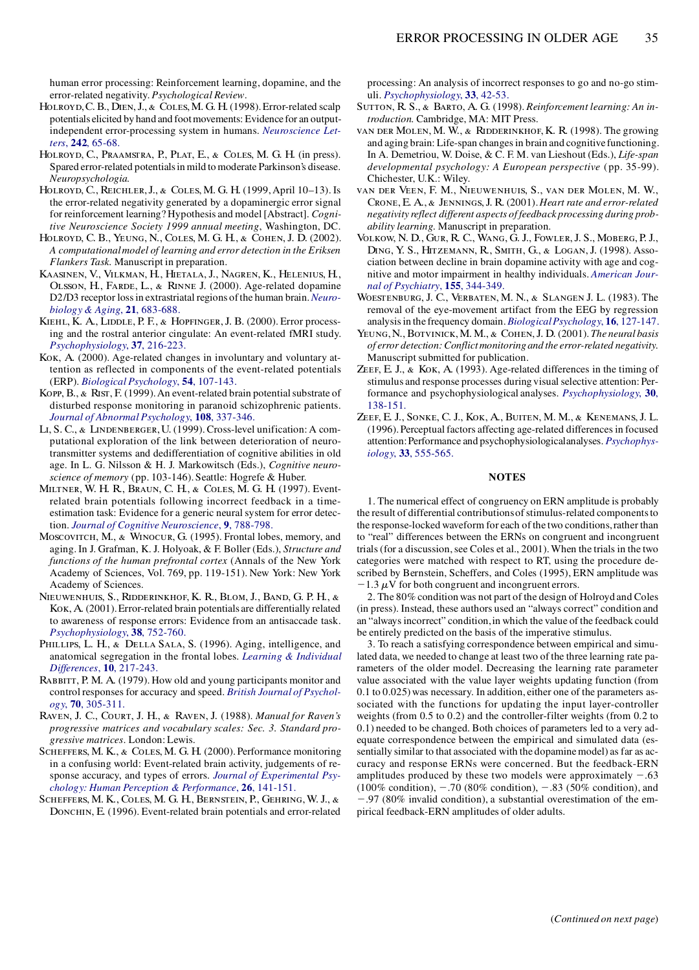human error processing: Reinforcement learning, dopamine, and the error-related negativity. *Psychological Review*.

- HOLROYD, C. B., DIEN, J., & COLES, M. G. H. (1998). Error-related scalp potentials elicited by hand and foot movements: Evidence for an outputindependent error-processing system in humans. *[Neuroscience Let](http://www.ingentaconnect.com/content/external-references?article=/0304-3940^28^29242L.65[aid=2386027])ters*, **242**[, 65-68.](http://www.ingentaconnect.com/content/external-references?article=/0304-3940^28^29242L.65[aid=2386027])
- HOLROYD, C., PRAAMSTRA, P., PLAT, E., & COLES, M. G. H. (in press). Spared error-related potentials in mild to moderate Parkinson's disease. *Neuropsychologia*.
- Holroyd, C., Reichler, J., & Coles, M. G. H. (1999, April 10–13). Is the error-related negativity generated by a dopaminergic error signal for reinforcement learning? Hypothesis and model [Abstract]. *Cognitive Neuroscience Society 1999 annual meeting*, Washington, DC.
- Holroyd, C. B., Yeung, N., Coles, M. G. H., & Cohen, J. D. (2002). *A computational model of learning and error detection in the Eriksen Flankers Task*. Manuscript in preparation.
- Kaasinen, V., Vilkman, H., Hietala, J., Nagren, K., Helenius, H., Olsson, H., Farde, L., & Rinne J. (2000). Age-related dopamine D2/D3 receptor loss in extrastriatal regions of the human brain. *[Neuro](http://www.ingentaconnect.com/content/external-references?article=/0197-4580^28^2921L.683[aid=2386028])[biology & Aging](http://www.ingentaconnect.com/content/external-references?article=/0197-4580^28^2921L.683[aid=2386028])*, **21**, 683-688.
- KIEHL, K. A., LIDDLE, P. F., & HOPFINGER, J. B. (2000). Error processing and the rostral anterior cingulate: An event-related fMRI study. *[Psychophysiology](http://www.ingentaconnect.com/content/external-references?article=/0048-5772^28^2937L.216[aid=2000344])*, **37**, 216-223.
- Kok, A. (2000). Age-related changes in involuntary and voluntary attention as reflected in components of the event-related potentials (ERP). *[Biological Psychology](http://www.ingentaconnect.com/content/external-references?article=/0301-0511^28^2954L.107[aid=2386029])*, **54**, 107-143.
- Kopp, B., & Rist, F. (1999). An event-related brain potential substrate of disturbed response monitoring in paranoid schizophrenic patients. *[Journal of Abnormal Psychology](http://www.ingentaconnect.com/content/external-references?article=/0021-843X^28^29108L.337[aid=2386030])*, **108**, 337-346.
- LI, S. C., & LINDENBERGER, U. (1999). Cross-level unification: A computational exploration of the link between deterioration of neurotransmitter systems and dedifferentiation of cognitive abilities in old age. In L. G. Nilsson & H. J. Markowitsch (Eds.), *Cognitive neuro science of memory* (pp. 103-146). Seattle: Hogrefe & Huber.
- Miltner, W. H. R., Braun, C. H., & Coles, M. G. H. (1997). Eventrelated brain potentials following incorrect feedback in a timeestimation task: Evidence for a generic neural system for error detection. *[Journal of Cognitive Neuroscience](http://www.ingentaconnect.com/content/external-references?article=/0898-929X^28^299L.788[aid=2386031])*, **9**, 788-798.
- Moscovitch, M., & Winocur, G. (1995). Frontal lobes, memory, and aging. In J. Grafman, K. J. Holyoak, & F. Boller (Eds.), *Structure and functions of the human prefrontal cortex* (Annals of the New York Academy of Sciences, Vol. 769, pp. 119-151). New York: New York Academy of Sciences.
- Nieuwenhuis, S., Ridderinkhof, K. R., Blom, J., Band, G. P. H., & Kok, A. (2001). Error-related brain potentials are differentially related to awareness of response errors: Evidence from an antisaccade task. *[Psychophysiology](http://www.ingentaconnect.com/content/external-references?article=/0048-5772^28^2938L.752[aid=2386032])*, **38**, 752-760.
- PHILLIPS, L. H., & DELLA SALA, S. (1996). Aging, intelligence, and anatomical segregation in the frontal lobes. *[Learning & Individual](http://www.ingentaconnect.com/content/external-references?article=/1041-6080^28^2910L.217[aid=970895]) [Differences](http://www.ingentaconnect.com/content/external-references?article=/1041-6080^28^2910L.217[aid=970895])*, **10**, 217-243.
- RABBITT, P. M. A. (1979). How old and young participants monitor and control responses for accuracy and speed. *[British Journal of Psychol](http://www.ingentaconnect.com/content/external-references?article=/0007-1269^28^2970L.305[aid=970951])ogy*, **70**[, 305-311.](http://www.ingentaconnect.com/content/external-references?article=/0007-1269^28^2970L.305[aid=970951])
- Raven, J. C., Court, J. H., & Raven, J. (1988). *Manual for Raven's progressive matrices and vocabulary scales: Sec. 3. Standard progressive matrices*. London: Lewis.
- Scheffers, M. K., & Coles, M. G. H. (2000). Performance monitoring in a confusing world: Event-related brain activity, judgements of re sponse accuracy, and types of errors. *[Journal of Experimental Psy](http://www.ingentaconnect.com/content/external-references?article=/0096-1523^28^2926L.141[aid=2386033])[chology: Human Perception & Performance](http://www.ingentaconnect.com/content/external-references?article=/0096-1523^28^2926L.141[aid=2386033])*, **26**, 141-151.
- Scheffers, M. K., Coles, M. G. H., Bernstein, P., Gehring, W. J., & DONCHIN, E. (1996). Event-related brain potentials and error-related

processing: An analysis of incorrect responses to go and no-go stimuli. *[Psychophysiology](http://www.ingentaconnect.com/content/external-references?article=/0048-5772^28^2933L.42[aid=2386034])*, **33**, 42-53.

- Sutton, R. S., & Barto, A. G. (1998). *Reinforcement learning: An introduction*. Cambridge, MA: MIT Press.
- van der Molen, M. W., & Ridderinkhof, K. R. (1998). The growing and aging brain: Life-span changes in brain and cognitive functioning. In A. Demetriou, W. Doise, & C. F. M. van Lieshout (Eds.), *Life-span developmental psychology: A European perspective* (pp. 35-99). Chichester, U.K.: Wiley.
- van der Veen, F. M., Nieuwenhuis, S., van der Molen, M. W., Crone, E. A., & Jennings, J. R. (2001). *Heart rate and error-related negativity reflect different aspects of feedback processing during probability learning*. Manuscript in preparation.
- Volkow, N. D., Gur, R. C., Wang, G. J., Fowler, J. S., Moberg, P. J., Ding, Y. S., Hitzemann, R., Smith, G., & Logan, J. (1998). Association between decline in brain dopamine activity with age and cognitive and motor impairment in healthy individuals. *[American Jour](http://www.ingentaconnect.com/content/external-references?article=/0002-953X^28^29155L.344[aid=2386035])[nal of Psychiatry](http://www.ingentaconnect.com/content/external-references?article=/0002-953X^28^29155L.344[aid=2386035])*, **155**, 344-349.
- Woestenburg, J. C., Verbaten, M. N., & Slangen J. L. (1983). The removal of the eye-movement artifact from the EEG by regression analysis in the frequency domain. *[Biological Psychology](http://www.ingentaconnect.com/content/external-references?article=/0301-0511^28^2916L.127[aid=2386036])*, **16**, 127-147.
- Yeung, N., Botvinick, M. M., & Cohen, J. D. (2001). *The neural basis of error detection: Conflict monitoring and the error-related negativity*. Manuscript submitted for publication.
- ZEEF, E. J., & KOK, A. (1993). Age-related differences in the timing of stimulus and response processes during visual selective attention: Performance and psychophysiological analyses. *[Psychophysiology](http://www.ingentaconnect.com/content/external-references?article=/0048-5772^28^2930L.138[aid=889507])*, **30**, [138-151.](http://www.ingentaconnect.com/content/external-references?article=/0048-5772^28^2930L.138[aid=889507])
- Zeef, E. J., Sonke, C. J., Kok, A., Buiten, M. M., & Kenemans, J. L. (1996). Perceptual factors affecting age-related differences in focused attention: Performance and psychophysiological analyses. *[Psychophys](http://www.ingentaconnect.com/content/external-references?article=/0048-5772^28^2933L.555[aid=970927])iology*, **33**[, 555-565.](http://www.ingentaconnect.com/content/external-references?article=/0048-5772^28^2933L.555[aid=970927])

#### **NOTES**

1. The numerical effect of congruency on ERN amplitude is probably the result of differential contributions of stimulus-related components to the response-locked waveform for each of the two conditions, rather than to "real" differences between the ERNs on congruent and incongruent trials (for a discussion, see Coles et al., 2001). When the trials in the two categories were matched with respect to RT, using the procedure described by Bernstein, Scheffers, and Coles (1995), ERN amplitude was  $-1.3 \mu$ V for both congruent and incongruent errors.

2. The 80% condition was not part of the design of Holroyd and Coles (in press). Instead, these authors used an "always correct" condition and an "always incorrect" condition, in which the value of the feedback could be entirely predicted on the basis of the imperative stimulus.

3. To reach a satisfying correspondence between empirical and simulated data, we needed to change at least two of the three learning rate parameters of the older model. Decreasing the learning rate parameter value associated with the value layer weights updating function (from 0.1 to 0.025) was necessary. In addition, either one of the parameters as sociated with the functions for updating the input layer-controller weights (from 0.5 to 0.2) and the controller-filter weights (from 0.2 to 0.1) needed to be changed. Both choices of parameters led to a very adequate correspondence between the empirical and simulated data (essentially similar to that associated with the dopamine model) as far as ac curacy and response ERNs were concerned. But the feedback-ERN amplitudes produced by these two models were approximately  $-.63$  $(100\% \text{ condition})$ ,  $-0.70$  (80% condition),  $-0.83$  (50% condition), and  $-0.97$  (80% invalid condition), a substantial overestimation of the empirical feedback-ERN amplitudes of older adults.